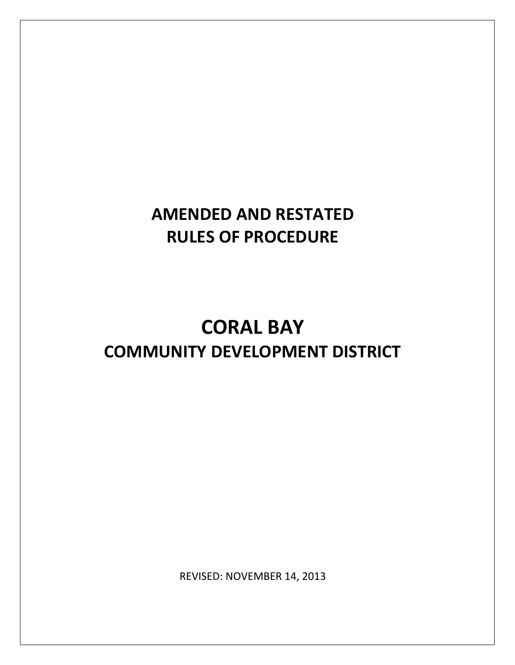# **AMENDED AND RESTATED RULES OF PROCEDURE**

# **CORAL BAY COMMUNITY DEVELOPMENT DISTRICT**

REVISED: NOVEMBER 14, 2013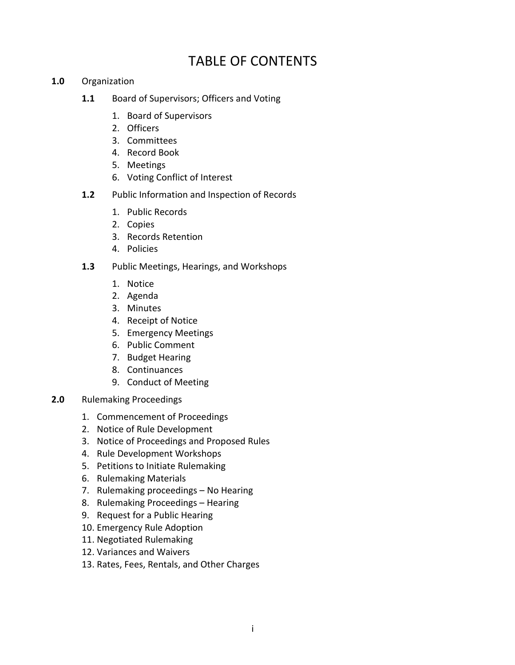# TABLE OF CONTENTS

- **1.0** Organization
	- **1.1** Board of Supervisors; Officers and Voting
		- 1. Board of Supervisors
		- 2. Officers
		- 3. Committees
		- 4. Record Book
		- 5. Meetings
		- 6. Voting Conflict of Interest
	- **1.2** Public Information and Inspection of Records
		- 1. Public Records
		- 2. Copies
		- 3. Records Retention
		- 4. Policies
	- **1.3** Public Meetings, Hearings, and Workshops
		- 1. Notice
		- 2. Agenda
		- 3. Minutes
		- 4. Receipt of Notice
		- 5. Emergency Meetings
		- 6. Public Comment
		- 7. Budget Hearing
		- 8. Continuances
		- 9. Conduct of Meeting
- **2.0** Rulemaking Proceedings
	- 1. Commencement of Proceedings
	- 2. Notice of Rule Development
	- 3. Notice of Proceedings and Proposed Rules
	- 4. Rule Development Workshops
	- 5. Petitions to Initiate Rulemaking
	- 6. Rulemaking Materials
	- 7. Rulemaking proceedings No Hearing
	- 8. Rulemaking Proceedings Hearing
	- 9. Request for a Public Hearing
	- 10. Emergency Rule Adoption
	- 11. Negotiated Rulemaking
	- 12. Variances and Waivers
	- 13. Rates, Fees, Rentals, and Other Charges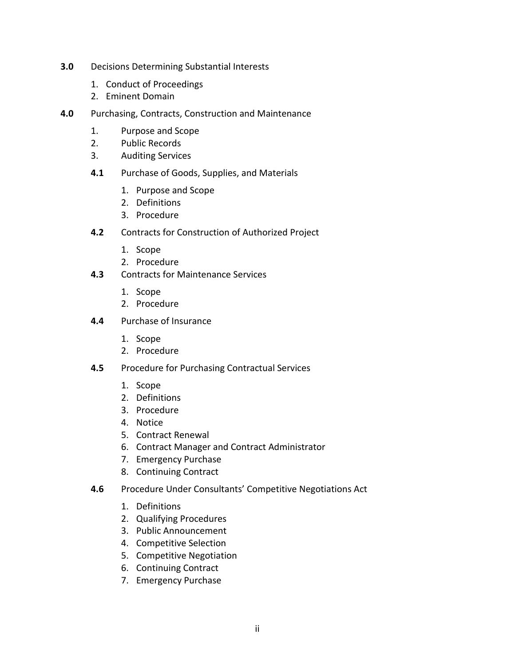- **3.0** Decisions Determining Substantial Interests
	- 1. Conduct of Proceedings
	- 2. Eminent Domain
- **4.0** Purchasing, Contracts, Construction and Maintenance
	- 1. Purpose and Scope
	- 2. Public Records
	- 3. Auditing Services
	- **4.1** Purchase of Goods, Supplies, and Materials
		- 1. Purpose and Scope
		- 2. Definitions
		- 3. Procedure
	- **4.2** Contracts for Construction of Authorized Project
		- 1. Scope
		- 2. Procedure
	- **4.3** Contracts for Maintenance Services
		- 1. Scope
		- 2. Procedure
	- **4.4** Purchase of Insurance
		- 1. Scope
		- 2. Procedure
	- **4.5** Procedure for Purchasing Contractual Services
		- 1. Scope
		- 2. Definitions
		- 3. Procedure
		- 4. Notice
		- 5. Contract Renewal
		- 6. Contract Manager and Contract Administrator
		- 7. Emergency Purchase
		- 8. Continuing Contract
	- **4.6** Procedure Under Consultants' Competitive Negotiations Act
		- 1. Definitions
		- 2. Qualifying Procedures
		- 3. Public Announcement
		- 4. Competitive Selection
		- 5. Competitive Negotiation
		- 6. Continuing Contract
		- 7. Emergency Purchase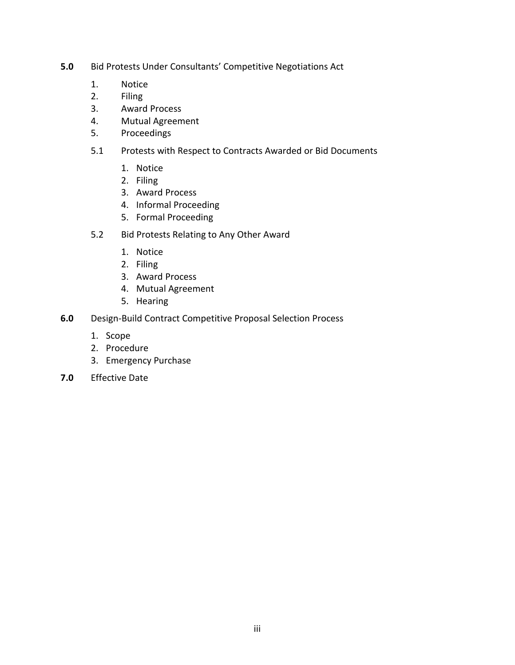- **5.0** Bid Protests Under Consultants' Competitive Negotiations Act
	- 1. Notice
	- 2. Filing
	- 3. Award Process
	- 4. Mutual Agreement
	- 5. Proceedings
	- 5.1 Protests with Respect to Contracts Awarded or Bid Documents
		- 1. Notice
		- 2. Filing
		- 3. Award Process
		- 4. Informal Proceeding
		- 5. Formal Proceeding
	- 5.2 Bid Protests Relating to Any Other Award
		- 1. Notice
		- 2. Filing
		- 3. Award Process
		- 4. Mutual Agreement
		- 5. Hearing
- **6.0** Design-Build Contract Competitive Proposal Selection Process
	- 1. Scope
	- 2. Procedure
	- 3. Emergency Purchase
- **7.0** Effective Date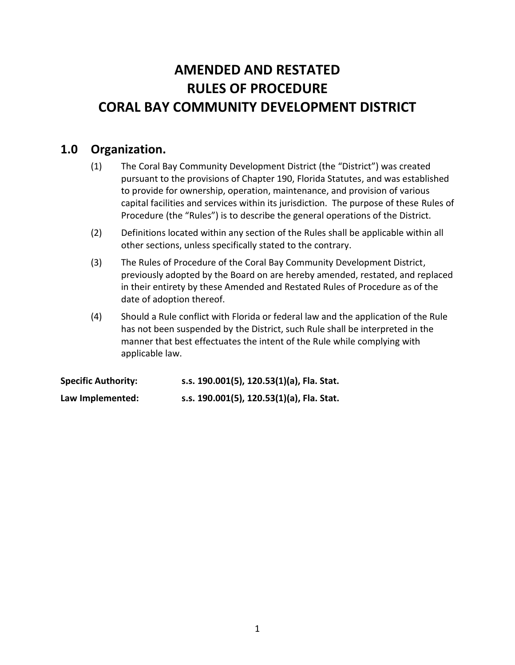# **AMENDED AND RESTATED RULES OF PROCEDURE CORAL BAY COMMUNITY DEVELOPMENT DISTRICT**

# **1.0 Organization.**

- (1) The Coral Bay Community Development District (the "District") was created pursuant to the provisions of Chapter 190, Florida Statutes, and was established to provide for ownership, operation, maintenance, and provision of various capital facilities and services within its jurisdiction. The purpose of these Rules of Procedure (the "Rules") is to describe the general operations of the District.
- (2) Definitions located within any section of the Rules shall be applicable within all other sections, unless specifically stated to the contrary.
- (3) The Rules of Procedure of the Coral Bay Community Development District, previously adopted by the Board on are hereby amended, restated, and replaced in their entirety by these Amended and Restated Rules of Procedure as of the date of adoption thereof.
- (4) Should a Rule conflict with Florida or federal law and the application of the Rule has not been suspended by the District, such Rule shall be interpreted in the manner that best effectuates the intent of the Rule while complying with applicable law.

**Specific Authority: s.s. 190.001(5), 120.53(1)(a), Fla. Stat. Law Implemented: s.s. 190.001(5), 120.53(1)(a), Fla. Stat.**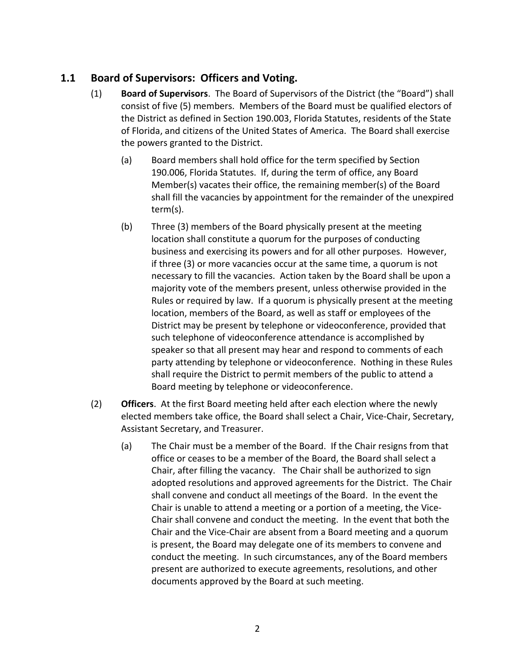## **1.1 Board of Supervisors: Officers and Voting.**

- (1) **Board of Supervisors**. The Board of Supervisors of the District (the "Board") shall consist of five (5) members. Members of the Board must be qualified electors of the District as defined in Section 190.003, Florida Statutes, residents of the State of Florida, and citizens of the United States of America. The Board shall exercise the powers granted to the District.
	- (a) Board members shall hold office for the term specified by Section 190.006, Florida Statutes. If, during the term of office, any Board Member(s) vacates their office, the remaining member(s) of the Board shall fill the vacancies by appointment for the remainder of the unexpired term(s).
	- (b) Three (3) members of the Board physically present at the meeting location shall constitute a quorum for the purposes of conducting business and exercising its powers and for all other purposes. However, if three (3) or more vacancies occur at the same time, a quorum is not necessary to fill the vacancies. Action taken by the Board shall be upon a majority vote of the members present, unless otherwise provided in the Rules or required by law. If a quorum is physically present at the meeting location, members of the Board, as well as staff or employees of the District may be present by telephone or videoconference, provided that such telephone of videoconference attendance is accomplished by speaker so that all present may hear and respond to comments of each party attending by telephone or videoconference. Nothing in these Rules shall require the District to permit members of the public to attend a Board meeting by telephone or videoconference.
- (2) **Officers**. At the first Board meeting held after each election where the newly elected members take office, the Board shall select a Chair, Vice-Chair, Secretary, Assistant Secretary, and Treasurer.
	- (a) The Chair must be a member of the Board. If the Chair resigns from that office or ceases to be a member of the Board, the Board shall select a Chair, after filling the vacancy. The Chair shall be authorized to sign adopted resolutions and approved agreements for the District. The Chair shall convene and conduct all meetings of the Board. In the event the Chair is unable to attend a meeting or a portion of a meeting, the Vice-Chair shall convene and conduct the meeting. In the event that both the Chair and the Vice-Chair are absent from a Board meeting and a quorum is present, the Board may delegate one of its members to convene and conduct the meeting. In such circumstances, any of the Board members present are authorized to execute agreements, resolutions, and other documents approved by the Board at such meeting.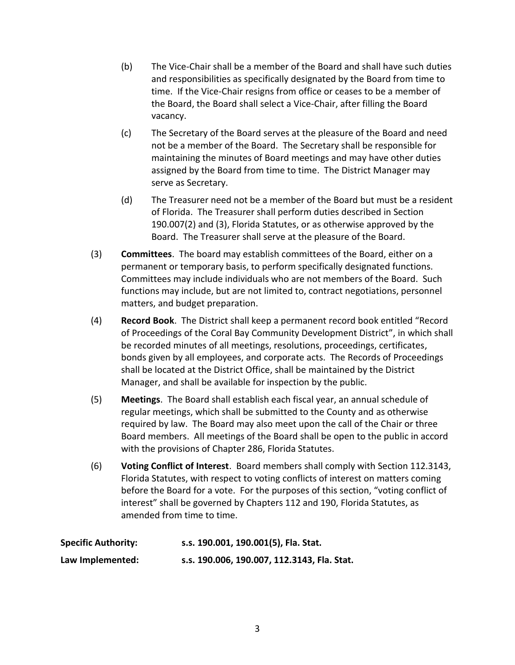- (b) The Vice-Chair shall be a member of the Board and shall have such duties and responsibilities as specifically designated by the Board from time to time. If the Vice-Chair resigns from office or ceases to be a member of the Board, the Board shall select a Vice-Chair, after filling the Board vacancy.
- (c) The Secretary of the Board serves at the pleasure of the Board and need not be a member of the Board. The Secretary shall be responsible for maintaining the minutes of Board meetings and may have other duties assigned by the Board from time to time. The District Manager may serve as Secretary.
- (d) The Treasurer need not be a member of the Board but must be a resident of Florida. The Treasurer shall perform duties described in Section 190.007(2) and (3), Florida Statutes, or as otherwise approved by the Board. The Treasurer shall serve at the pleasure of the Board.
- (3) **Committees**. The board may establish committees of the Board, either on a permanent or temporary basis, to perform specifically designated functions. Committees may include individuals who are not members of the Board. Such functions may include, but are not limited to, contract negotiations, personnel matters, and budget preparation.
- (4) **Record Book**. The District shall keep a permanent record book entitled "Record of Proceedings of the Coral Bay Community Development District", in which shall be recorded minutes of all meetings, resolutions, proceedings, certificates, bonds given by all employees, and corporate acts. The Records of Proceedings shall be located at the District Office, shall be maintained by the District Manager, and shall be available for inspection by the public.
- (5) **Meetings**. The Board shall establish each fiscal year, an annual schedule of regular meetings, which shall be submitted to the County and as otherwise required by law. The Board may also meet upon the call of the Chair or three Board members. All meetings of the Board shall be open to the public in accord with the provisions of Chapter 286, Florida Statutes.
- (6) **Voting Conflict of Interest**. Board members shall comply with Section 112.3143, Florida Statutes, with respect to voting conflicts of interest on matters coming before the Board for a vote. For the purposes of this section, "voting conflict of interest" shall be governed by Chapters 112 and 190, Florida Statutes, as amended from time to time.

| <b>Specific Authority:</b> | s.s. 190.001, 190.001(5), Fla. Stat.        |
|----------------------------|---------------------------------------------|
| Law Implemented:           | s.s. 190.006, 190.007, 112.3143, Fla. Stat. |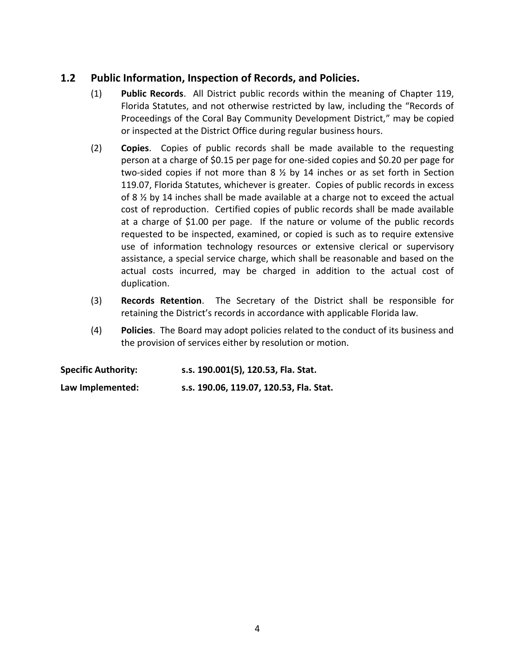#### **1.2 Public Information, Inspection of Records, and Policies.**

- (1) **Public Records**. All District public records within the meaning of Chapter 119, Florida Statutes, and not otherwise restricted by law, including the "Records of Proceedings of the Coral Bay Community Development District," may be copied or inspected at the District Office during regular business hours.
- (2) **Copies**. Copies of public records shall be made available to the requesting person at a charge of \$0.15 per page for one-sided copies and \$0.20 per page for two-sided copies if not more than 8 ½ by 14 inches or as set forth in Section 119.07, Florida Statutes, whichever is greater. Copies of public records in excess of 8 ½ by 14 inches shall be made available at a charge not to exceed the actual cost of reproduction. Certified copies of public records shall be made available at a charge of \$1.00 per page. If the nature or volume of the public records requested to be inspected, examined, or copied is such as to require extensive use of information technology resources or extensive clerical or supervisory assistance, a special service charge, which shall be reasonable and based on the actual costs incurred, may be charged in addition to the actual cost of duplication.
- (3) **Records Retention**. The Secretary of the District shall be responsible for retaining the District's records in accordance with applicable Florida law.
- (4) **Policies**. The Board may adopt policies related to the conduct of its business and the provision of services either by resolution or motion.

| <b>Specific Authority:</b> | s.s. 190.001(5), 120.53, Fla. Stat.     |
|----------------------------|-----------------------------------------|
| Law Implemented:           | s.s. 190.06, 119.07, 120.53, Fla. Stat. |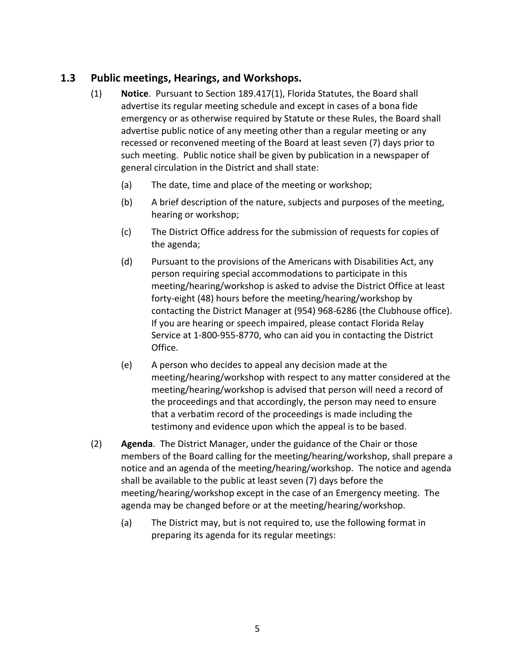#### **1.3 Public meetings, Hearings, and Workshops.**

- (1) **Notice**. Pursuant to Section 189.417(1), Florida Statutes, the Board shall advertise its regular meeting schedule and except in cases of a bona fide emergency or as otherwise required by Statute or these Rules, the Board shall advertise public notice of any meeting other than a regular meeting or any recessed or reconvened meeting of the Board at least seven (7) days prior to such meeting. Public notice shall be given by publication in a newspaper of general circulation in the District and shall state:
	- (a) The date, time and place of the meeting or workshop;
	- (b) A brief description of the nature, subjects and purposes of the meeting, hearing or workshop;
	- (c) The District Office address for the submission of requests for copies of the agenda;
	- (d) Pursuant to the provisions of the Americans with Disabilities Act, any person requiring special accommodations to participate in this meeting/hearing/workshop is asked to advise the District Office at least forty-eight (48) hours before the meeting/hearing/workshop by contacting the District Manager at (954) 968-6286 (the Clubhouse office). If you are hearing or speech impaired, please contact Florida Relay Service at 1-800-955-8770, who can aid you in contacting the District Office.
	- (e) A person who decides to appeal any decision made at the meeting/hearing/workshop with respect to any matter considered at the meeting/hearing/workshop is advised that person will need a record of the proceedings and that accordingly, the person may need to ensure that a verbatim record of the proceedings is made including the testimony and evidence upon which the appeal is to be based.
- (2) **Agenda**. The District Manager, under the guidance of the Chair or those members of the Board calling for the meeting/hearing/workshop, shall prepare a notice and an agenda of the meeting/hearing/workshop. The notice and agenda shall be available to the public at least seven (7) days before the meeting/hearing/workshop except in the case of an Emergency meeting. The agenda may be changed before or at the meeting/hearing/workshop.
	- (a) The District may, but is not required to, use the following format in preparing its agenda for its regular meetings: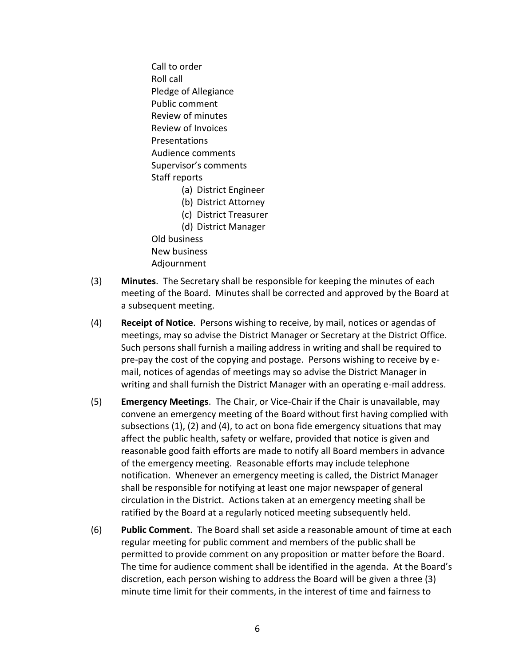Call to order Roll call Pledge of Allegiance Public comment Review of minutes Review of Invoices Presentations Audience comments Supervisor's comments Staff reports (a) District Engineer (b) District Attorney (c) District Treasurer (d) District Manager

Old business New business Adjournment

- (3) **Minutes**. The Secretary shall be responsible for keeping the minutes of each meeting of the Board. Minutes shall be corrected and approved by the Board at a subsequent meeting.
- (4) **Receipt of Notice**. Persons wishing to receive, by mail, notices or agendas of meetings, may so advise the District Manager or Secretary at the District Office. Such persons shall furnish a mailing address in writing and shall be required to pre-pay the cost of the copying and postage. Persons wishing to receive by email, notices of agendas of meetings may so advise the District Manager in writing and shall furnish the District Manager with an operating e-mail address.
- (5) **Emergency Meetings**. The Chair, or Vice-Chair if the Chair is unavailable, may convene an emergency meeting of the Board without first having complied with subsections (1), (2) and (4), to act on bona fide emergency situations that may affect the public health, safety or welfare, provided that notice is given and reasonable good faith efforts are made to notify all Board members in advance of the emergency meeting. Reasonable efforts may include telephone notification. Whenever an emergency meeting is called, the District Manager shall be responsible for notifying at least one major newspaper of general circulation in the District. Actions taken at an emergency meeting shall be ratified by the Board at a regularly noticed meeting subsequently held.
- (6) **Public Comment**. The Board shall set aside a reasonable amount of time at each regular meeting for public comment and members of the public shall be permitted to provide comment on any proposition or matter before the Board. The time for audience comment shall be identified in the agenda. At the Board's discretion, each person wishing to address the Board will be given a three (3) minute time limit for their comments, in the interest of time and fairness to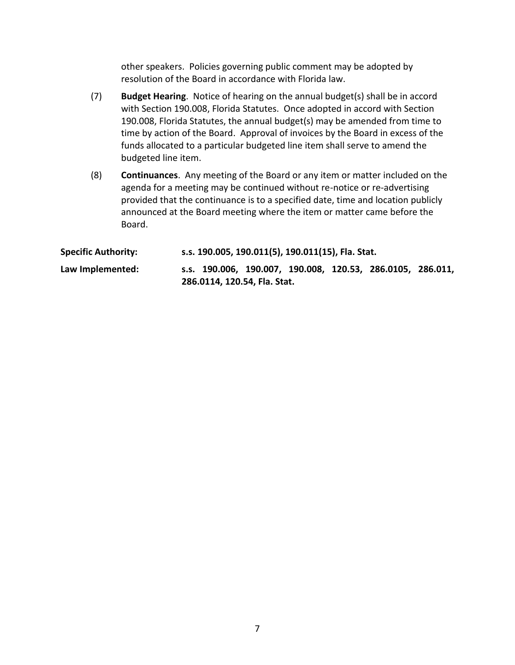other speakers. Policies governing public comment may be adopted by resolution of the Board in accordance with Florida law.

- (7) **Budget Hearing**. Notice of hearing on the annual budget(s) shall be in accord with Section 190.008, Florida Statutes. Once adopted in accord with Section 190.008, Florida Statutes, the annual budget(s) may be amended from time to time by action of the Board. Approval of invoices by the Board in excess of the funds allocated to a particular budgeted line item shall serve to amend the budgeted line item.
- (8) **Continuances**. Any meeting of the Board or any item or matter included on the agenda for a meeting may be continued without re-notice or re-advertising provided that the continuance is to a specified date, time and location publicly announced at the Board meeting where the item or matter came before the Board.

| <b>Specific Authority:</b> |  | s.s. 190.005, 190.011(5), 190.011(15), Fla. Stat. |  |                                                            |  |
|----------------------------|--|---------------------------------------------------|--|------------------------------------------------------------|--|
| Law Implemented:           |  |                                                   |  | s.s. 190.006, 190.007, 190.008, 120.53, 286.0105, 286.011, |  |
|                            |  | 286.0114, 120.54, Fla. Stat.                      |  |                                                            |  |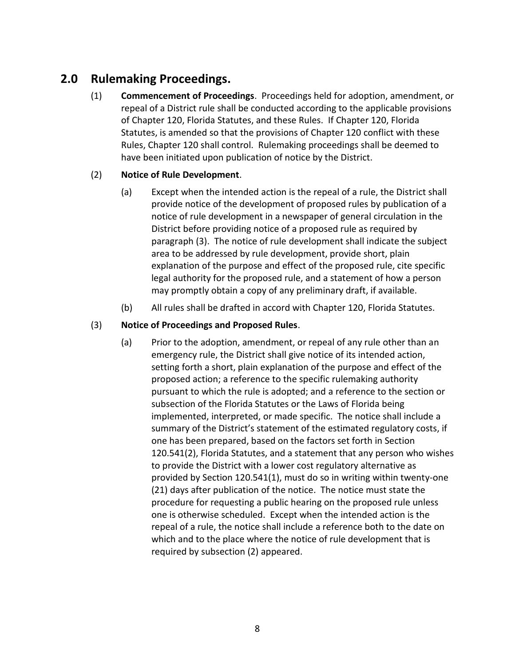# **2.0 Rulemaking Proceedings.**

(1) **Commencement of Proceedings**. Proceedings held for adoption, amendment, or repeal of a District rule shall be conducted according to the applicable provisions of Chapter 120, Florida Statutes, and these Rules. If Chapter 120, Florida Statutes, is amended so that the provisions of Chapter 120 conflict with these Rules, Chapter 120 shall control. Rulemaking proceedings shall be deemed to have been initiated upon publication of notice by the District.

#### (2) **Notice of Rule Development**.

- (a) Except when the intended action is the repeal of a rule, the District shall provide notice of the development of proposed rules by publication of a notice of rule development in a newspaper of general circulation in the District before providing notice of a proposed rule as required by paragraph (3). The notice of rule development shall indicate the subject area to be addressed by rule development, provide short, plain explanation of the purpose and effect of the proposed rule, cite specific legal authority for the proposed rule, and a statement of how a person may promptly obtain a copy of any preliminary draft, if available.
- (b) All rules shall be drafted in accord with Chapter 120, Florida Statutes.

#### (3) **Notice of Proceedings and Proposed Rules**.

(a) Prior to the adoption, amendment, or repeal of any rule other than an emergency rule, the District shall give notice of its intended action, setting forth a short, plain explanation of the purpose and effect of the proposed action; a reference to the specific rulemaking authority pursuant to which the rule is adopted; and a reference to the section or subsection of the Florida Statutes or the Laws of Florida being implemented, interpreted, or made specific. The notice shall include a summary of the District's statement of the estimated regulatory costs, if one has been prepared, based on the factors set forth in Section 120.541(2), Florida Statutes, and a statement that any person who wishes to provide the District with a lower cost regulatory alternative as provided by Section 120.541(1), must do so in writing within twenty-one (21) days after publication of the notice. The notice must state the procedure for requesting a public hearing on the proposed rule unless one is otherwise scheduled. Except when the intended action is the repeal of a rule, the notice shall include a reference both to the date on which and to the place where the notice of rule development that is required by subsection (2) appeared.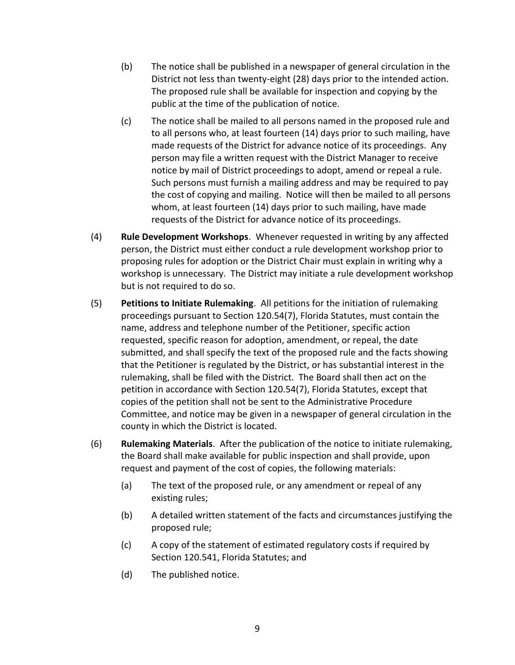- (b) The notice shall be published in a newspaper of general circulation in the District not less than twenty-eight (28) days prior to the intended action. The proposed rule shall be available for inspection and copying by the public at the time of the publication of notice.
- (c) The notice shall be mailed to all persons named in the proposed rule and to all persons who, at least fourteen (14) days prior to such mailing, have made requests of the District for advance notice of its proceedings. Any person may file a written request with the District Manager to receive notice by mail of District proceedings to adopt, amend or repeal a rule. Such persons must furnish a mailing address and may be required to pay the cost of copying and mailing. Notice will then be mailed to all persons whom, at least fourteen (14) days prior to such mailing, have made requests of the District for advance notice of its proceedings.
- (4) **Rule Development Workshops**. Whenever requested in writing by any affected person, the District must either conduct a rule development workshop prior to proposing rules for adoption or the District Chair must explain in writing why a workshop is unnecessary. The District may initiate a rule development workshop but is not required to do so.
- (5) **Petitions to Initiate Rulemaking**. All petitions for the initiation of rulemaking proceedings pursuant to Section 120.54(7), Florida Statutes, must contain the name, address and telephone number of the Petitioner, specific action requested, specific reason for adoption, amendment, or repeal, the date submitted, and shall specify the text of the proposed rule and the facts showing that the Petitioner is regulated by the District, or has substantial interest in the rulemaking, shall be filed with the District. The Board shall then act on the petition in accordance with Section 120.54(7), Florida Statutes, except that copies of the petition shall not be sent to the Administrative Procedure Committee, and notice may be given in a newspaper of general circulation in the county in which the District is located.
- (6) **Rulemaking Materials**. After the publication of the notice to initiate rulemaking, the Board shall make available for public inspection and shall provide, upon request and payment of the cost of copies, the following materials:
	- (a) The text of the proposed rule, or any amendment or repeal of any existing rules;
	- (b) A detailed written statement of the facts and circumstances justifying the proposed rule;
	- (c) A copy of the statement of estimated regulatory costs if required by Section 120.541, Florida Statutes; and
	- (d) The published notice.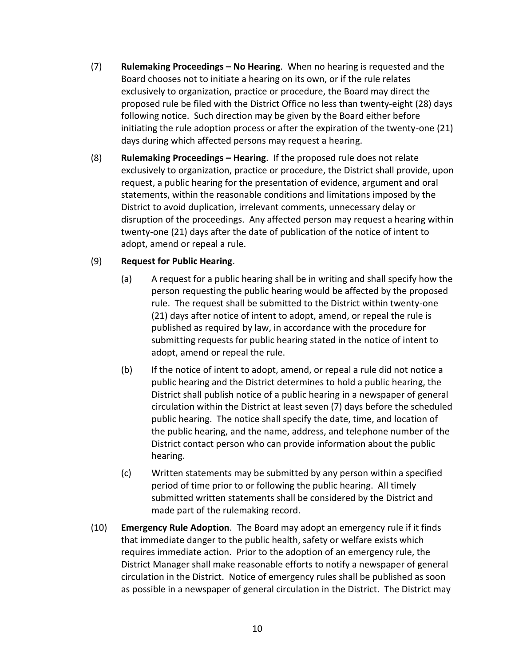- (7) **Rulemaking Proceedings – No Hearing**. When no hearing is requested and the Board chooses not to initiate a hearing on its own, or if the rule relates exclusively to organization, practice or procedure, the Board may direct the proposed rule be filed with the District Office no less than twenty-eight (28) days following notice. Such direction may be given by the Board either before initiating the rule adoption process or after the expiration of the twenty-one (21) days during which affected persons may request a hearing.
- (8) **Rulemaking Proceedings – Hearing**. If the proposed rule does not relate exclusively to organization, practice or procedure, the District shall provide, upon request, a public hearing for the presentation of evidence, argument and oral statements, within the reasonable conditions and limitations imposed by the District to avoid duplication, irrelevant comments, unnecessary delay or disruption of the proceedings. Any affected person may request a hearing within twenty-one (21) days after the date of publication of the notice of intent to adopt, amend or repeal a rule.

#### (9) **Request for Public Hearing**.

- (a) A request for a public hearing shall be in writing and shall specify how the person requesting the public hearing would be affected by the proposed rule. The request shall be submitted to the District within twenty-one (21) days after notice of intent to adopt, amend, or repeal the rule is published as required by law, in accordance with the procedure for submitting requests for public hearing stated in the notice of intent to adopt, amend or repeal the rule.
- (b) If the notice of intent to adopt, amend, or repeal a rule did not notice a public hearing and the District determines to hold a public hearing, the District shall publish notice of a public hearing in a newspaper of general circulation within the District at least seven (7) days before the scheduled public hearing. The notice shall specify the date, time, and location of the public hearing, and the name, address, and telephone number of the District contact person who can provide information about the public hearing.
- (c) Written statements may be submitted by any person within a specified period of time prior to or following the public hearing. All timely submitted written statements shall be considered by the District and made part of the rulemaking record.
- (10) **Emergency Rule Adoption**. The Board may adopt an emergency rule if it finds that immediate danger to the public health, safety or welfare exists which requires immediate action. Prior to the adoption of an emergency rule, the District Manager shall make reasonable efforts to notify a newspaper of general circulation in the District. Notice of emergency rules shall be published as soon as possible in a newspaper of general circulation in the District. The District may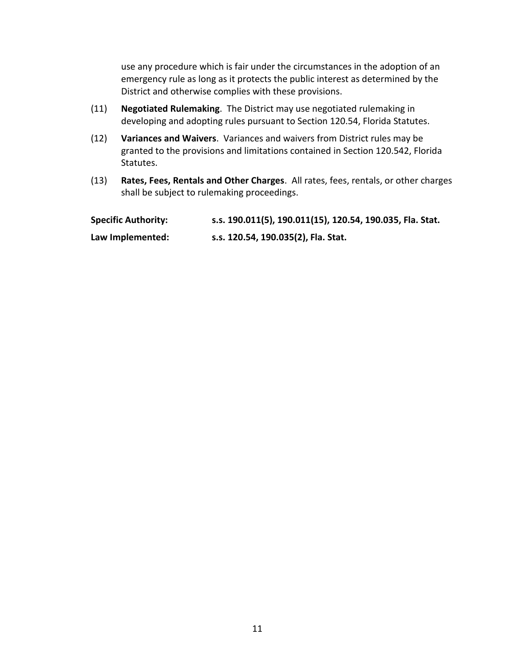use any procedure which is fair under the circumstances in the adoption of an emergency rule as long as it protects the public interest as determined by the District and otherwise complies with these provisions.

- (11) **Negotiated Rulemaking**. The District may use negotiated rulemaking in developing and adopting rules pursuant to Section 120.54, Florida Statutes.
- (12) **Variances and Waivers**. Variances and waivers from District rules may be granted to the provisions and limitations contained in Section 120.542, Florida Statutes.
- (13) **Rates, Fees, Rentals and Other Charges**. All rates, fees, rentals, or other charges shall be subject to rulemaking proceedings.

| <b>Specific Authority:</b> | s.s. 190.011(5), 190.011(15), 120.54, 190.035, Fla. Stat. |
|----------------------------|-----------------------------------------------------------|
| Law Implemented:           | s.s. 120.54, 190.035(2), Fla. Stat.                       |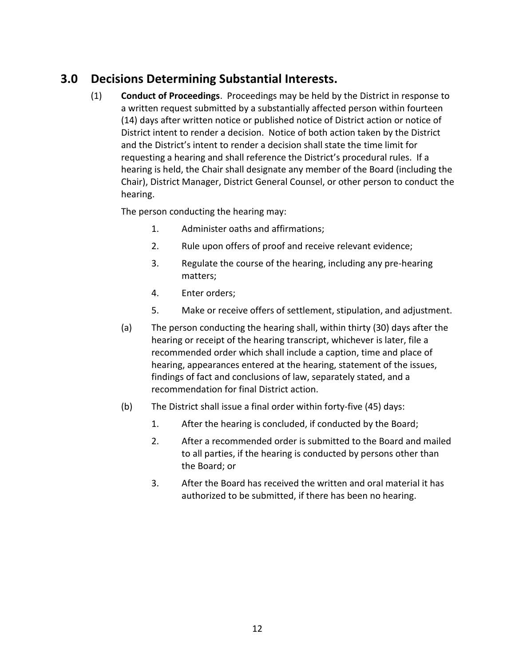# **3.0 Decisions Determining Substantial Interests.**

(1) **Conduct of Proceedings**. Proceedings may be held by the District in response to a written request submitted by a substantially affected person within fourteen (14) days after written notice or published notice of District action or notice of District intent to render a decision. Notice of both action taken by the District and the District's intent to render a decision shall state the time limit for requesting a hearing and shall reference the District's procedural rules. If a hearing is held, the Chair shall designate any member of the Board (including the Chair), District Manager, District General Counsel, or other person to conduct the hearing.

The person conducting the hearing may:

- 1. Administer oaths and affirmations;
- 2. Rule upon offers of proof and receive relevant evidence;
- 3. Regulate the course of the hearing, including any pre-hearing matters;
- 4. Enter orders;
- 5. Make or receive offers of settlement, stipulation, and adjustment.
- (a) The person conducting the hearing shall, within thirty (30) days after the hearing or receipt of the hearing transcript, whichever is later, file a recommended order which shall include a caption, time and place of hearing, appearances entered at the hearing, statement of the issues, findings of fact and conclusions of law, separately stated, and a recommendation for final District action.
- (b) The District shall issue a final order within forty-five (45) days:
	- 1. After the hearing is concluded, if conducted by the Board;
	- 2. After a recommended order is submitted to the Board and mailed to all parties, if the hearing is conducted by persons other than the Board; or
	- 3. After the Board has received the written and oral material it has authorized to be submitted, if there has been no hearing.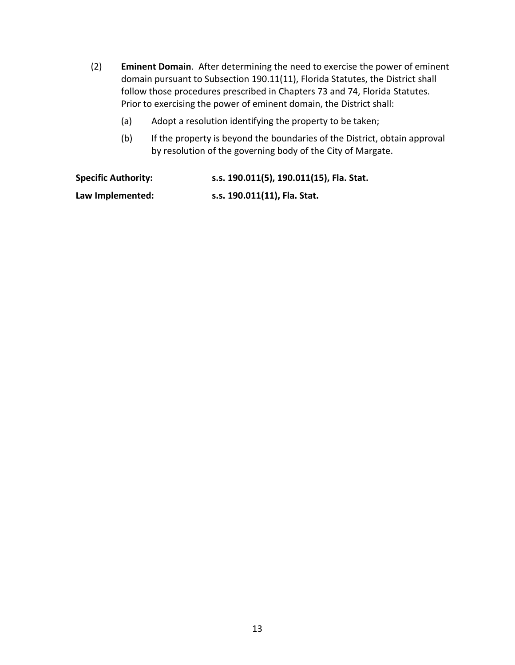- (2) **Eminent Domain**. After determining the need to exercise the power of eminent domain pursuant to Subsection 190.11(11), Florida Statutes, the District shall follow those procedures prescribed in Chapters 73 and 74, Florida Statutes. Prior to exercising the power of eminent domain, the District shall:
	- (a) Adopt a resolution identifying the property to be taken;
	- (b) If the property is beyond the boundaries of the District, obtain approval by resolution of the governing body of the City of Margate.

**Specific Authority: s.s. 190.011(5), 190.011(15), Fla. Stat. Law Implemented: s.s. 190.011(11), Fla. Stat.**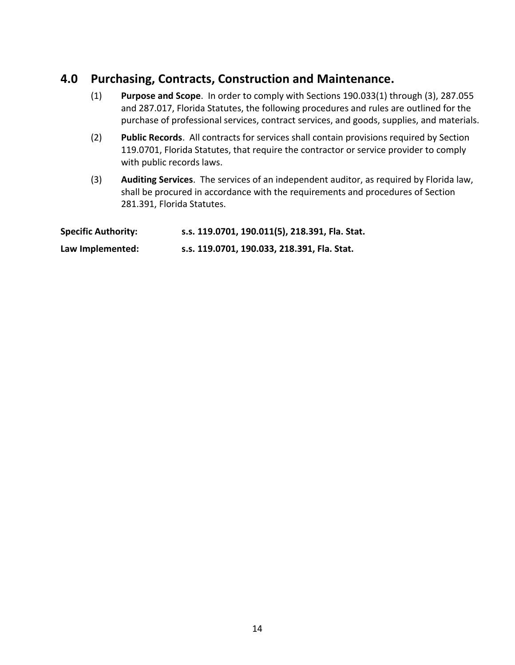# **4.0 Purchasing, Contracts, Construction and Maintenance.**

- (1) **Purpose and Scope**. In order to comply with Sections 190.033(1) through (3), 287.055 and 287.017, Florida Statutes, the following procedures and rules are outlined for the purchase of professional services, contract services, and goods, supplies, and materials.
- (2) **Public Records**. All contracts for services shall contain provisions required by Section 119.0701, Florida Statutes, that require the contractor or service provider to comply with public records laws.
- (3) **Auditing Services**. The services of an independent auditor, as required by Florida law, shall be procured in accordance with the requirements and procedures of Section 281.391, Florida Statutes.

| <b>Specific Authority:</b> | s.s. 119.0701, 190.011(5), 218.391, Fla. Stat. |
|----------------------------|------------------------------------------------|
| Law Implemented:           | s.s. 119.0701, 190.033, 218.391, Fla. Stat.    |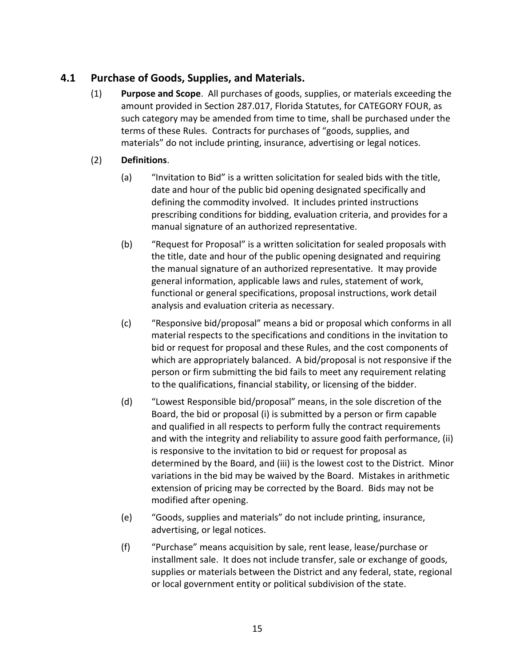#### **4.1 Purchase of Goods, Supplies, and Materials.**

(1) **Purpose and Scope**. All purchases of goods, supplies, or materials exceeding the amount provided in Section 287.017, Florida Statutes, for CATEGORY FOUR, as such category may be amended from time to time, shall be purchased under the terms of these Rules. Contracts for purchases of "goods, supplies, and materials" do not include printing, insurance, advertising or legal notices.

#### (2) **Definitions**.

- (a) "Invitation to Bid" is a written solicitation for sealed bids with the title, date and hour of the public bid opening designated specifically and defining the commodity involved. It includes printed instructions prescribing conditions for bidding, evaluation criteria, and provides for a manual signature of an authorized representative.
- (b) "Request for Proposal" is a written solicitation for sealed proposals with the title, date and hour of the public opening designated and requiring the manual signature of an authorized representative. It may provide general information, applicable laws and rules, statement of work, functional or general specifications, proposal instructions, work detail analysis and evaluation criteria as necessary.
- (c) "Responsive bid/proposal" means a bid or proposal which conforms in all material respects to the specifications and conditions in the invitation to bid or request for proposal and these Rules, and the cost components of which are appropriately balanced. A bid/proposal is not responsive if the person or firm submitting the bid fails to meet any requirement relating to the qualifications, financial stability, or licensing of the bidder.
- (d) "Lowest Responsible bid/proposal" means, in the sole discretion of the Board, the bid or proposal (i) is submitted by a person or firm capable and qualified in all respects to perform fully the contract requirements and with the integrity and reliability to assure good faith performance, (ii) is responsive to the invitation to bid or request for proposal as determined by the Board, and (iii) is the lowest cost to the District. Minor variations in the bid may be waived by the Board. Mistakes in arithmetic extension of pricing may be corrected by the Board. Bids may not be modified after opening.
- (e) "Goods, supplies and materials" do not include printing, insurance, advertising, or legal notices.
- (f) "Purchase" means acquisition by sale, rent lease, lease/purchase or installment sale. It does not include transfer, sale or exchange of goods, supplies or materials between the District and any federal, state, regional or local government entity or political subdivision of the state.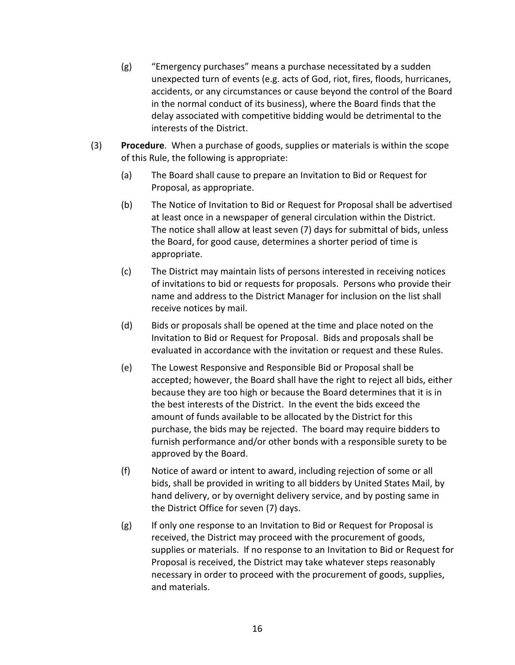- (g) "Emergency purchases" means a purchase necessitated by a sudden unexpected turn of events (e.g. acts of God, riot, fires, floods, hurricanes, accidents, or any circumstances or cause beyond the control of the Board in the normal conduct of its business), where the Board finds that the delay associated with competitive bidding would be detrimental to the interests of the District.
- (3) **Procedure**. When a purchase of goods, supplies or materials is within the scope of this Rule, the following is appropriate:
	- (a) The Board shall cause to prepare an Invitation to Bid or Request for Proposal, as appropriate.
	- (b) The Notice of Invitation to Bid or Request for Proposal shall be advertised at least once in a newspaper of general circulation within the District. The notice shall allow at least seven (7) days for submittal of bids, unless the Board, for good cause, determines a shorter period of time is appropriate.
	- (c) The District may maintain lists of persons interested in receiving notices of invitations to bid or requests for proposals. Persons who provide their name and address to the District Manager for inclusion on the list shall receive notices by mail.
	- (d) Bids or proposals shall be opened at the time and place noted on the Invitation to Bid or Request for Proposal. Bids and proposals shall be evaluated in accordance with the invitation or request and these Rules.
	- (e) The Lowest Responsive and Responsible Bid or Proposal shall be accepted; however, the Board shall have the right to reject all bids, either because they are too high or because the Board determines that it is in the best interests of the District. In the event the bids exceed the amount of funds available to be allocated by the District for this purchase, the bids may be rejected. The board may require bidders to furnish performance and/or other bonds with a responsible surety to be approved by the Board.
	- (f) Notice of award or intent to award, including rejection of some or all bids, shall be provided in writing to all bidders by United States Mail, by hand delivery, or by overnight delivery service, and by posting same in the District Office for seven (7) days.
	- (g) If only one response to an Invitation to Bid or Request for Proposal is received, the District may proceed with the procurement of goods, supplies or materials. If no response to an Invitation to Bid or Request for Proposal is received, the District may take whatever steps reasonably necessary in order to proceed with the procurement of goods, supplies, and materials.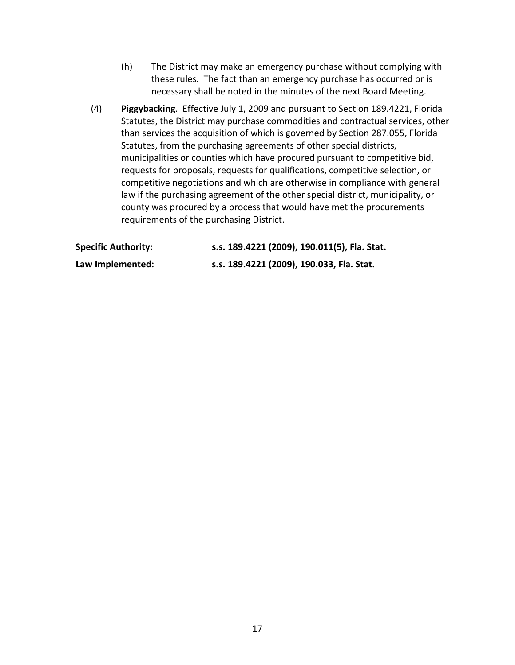- (h) The District may make an emergency purchase without complying with these rules. The fact than an emergency purchase has occurred or is necessary shall be noted in the minutes of the next Board Meeting.
- (4) **Piggybacking**. Effective July 1, 2009 and pursuant to Section 189.4221, Florida Statutes, the District may purchase commodities and contractual services, other than services the acquisition of which is governed by Section 287.055, Florida Statutes, from the purchasing agreements of other special districts, municipalities or counties which have procured pursuant to competitive bid, requests for proposals, requests for qualifications, competitive selection, or competitive negotiations and which are otherwise in compliance with general law if the purchasing agreement of the other special district, municipality, or county was procured by a process that would have met the procurements requirements of the purchasing District.

| <b>Specific Authority:</b> | s.s. 189.4221 (2009), 190.011(5), Fla. Stat. |
|----------------------------|----------------------------------------------|
| Law Implemented:           | s.s. 189.4221 (2009), 190.033, Fla. Stat.    |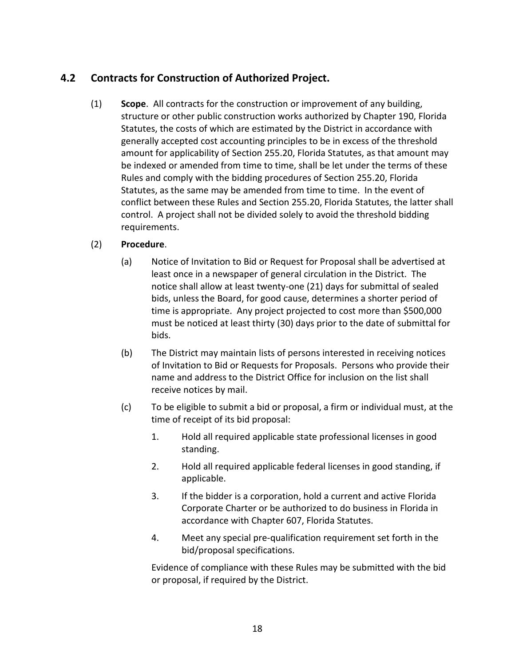## **4.2 Contracts for Construction of Authorized Project.**

(1) **Scope**. All contracts for the construction or improvement of any building, structure or other public construction works authorized by Chapter 190, Florida Statutes, the costs of which are estimated by the District in accordance with generally accepted cost accounting principles to be in excess of the threshold amount for applicability of Section 255.20, Florida Statutes, as that amount may be indexed or amended from time to time, shall be let under the terms of these Rules and comply with the bidding procedures of Section 255.20, Florida Statutes, as the same may be amended from time to time. In the event of conflict between these Rules and Section 255.20, Florida Statutes, the latter shall control. A project shall not be divided solely to avoid the threshold bidding requirements.

#### (2) **Procedure**.

- (a) Notice of Invitation to Bid or Request for Proposal shall be advertised at least once in a newspaper of general circulation in the District. The notice shall allow at least twenty-one (21) days for submittal of sealed bids, unless the Board, for good cause, determines a shorter period of time is appropriate. Any project projected to cost more than \$500,000 must be noticed at least thirty (30) days prior to the date of submittal for bids.
- (b) The District may maintain lists of persons interested in receiving notices of Invitation to Bid or Requests for Proposals. Persons who provide their name and address to the District Office for inclusion on the list shall receive notices by mail.
- (c) To be eligible to submit a bid or proposal, a firm or individual must, at the time of receipt of its bid proposal:
	- 1. Hold all required applicable state professional licenses in good standing.
	- 2. Hold all required applicable federal licenses in good standing, if applicable.
	- 3. If the bidder is a corporation, hold a current and active Florida Corporate Charter or be authorized to do business in Florida in accordance with Chapter 607, Florida Statutes.
	- 4. Meet any special pre-qualification requirement set forth in the bid/proposal specifications.

Evidence of compliance with these Rules may be submitted with the bid or proposal, if required by the District.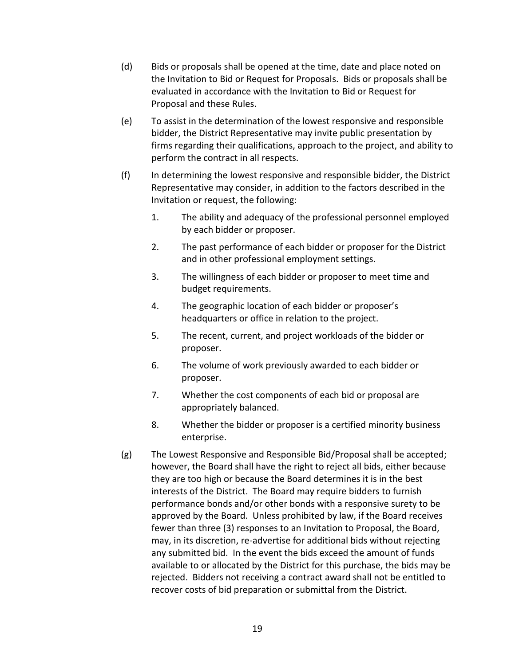- (d) Bids or proposals shall be opened at the time, date and place noted on the Invitation to Bid or Request for Proposals. Bids or proposals shall be evaluated in accordance with the Invitation to Bid or Request for Proposal and these Rules.
- (e) To assist in the determination of the lowest responsive and responsible bidder, the District Representative may invite public presentation by firms regarding their qualifications, approach to the project, and ability to perform the contract in all respects.
- (f) In determining the lowest responsive and responsible bidder, the District Representative may consider, in addition to the factors described in the Invitation or request, the following:
	- 1. The ability and adequacy of the professional personnel employed by each bidder or proposer.
	- 2. The past performance of each bidder or proposer for the District and in other professional employment settings.
	- 3. The willingness of each bidder or proposer to meet time and budget requirements.
	- 4. The geographic location of each bidder or proposer's headquarters or office in relation to the project.
	- 5. The recent, current, and project workloads of the bidder or proposer.
	- 6. The volume of work previously awarded to each bidder or proposer.
	- 7. Whether the cost components of each bid or proposal are appropriately balanced.
	- 8. Whether the bidder or proposer is a certified minority business enterprise.
- (g) The Lowest Responsive and Responsible Bid/Proposal shall be accepted; however, the Board shall have the right to reject all bids, either because they are too high or because the Board determines it is in the best interests of the District. The Board may require bidders to furnish performance bonds and/or other bonds with a responsive surety to be approved by the Board. Unless prohibited by law, if the Board receives fewer than three (3) responses to an Invitation to Proposal, the Board, may, in its discretion, re-advertise for additional bids without rejecting any submitted bid. In the event the bids exceed the amount of funds available to or allocated by the District for this purchase, the bids may be rejected. Bidders not receiving a contract award shall not be entitled to recover costs of bid preparation or submittal from the District.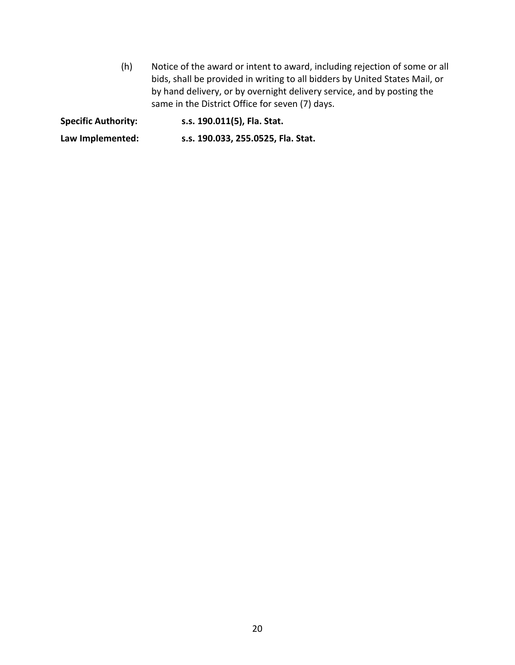(h) Notice of the award or intent to award, including rejection of some or all bids, shall be provided in writing to all bidders by United States Mail, or by hand delivery, or by overnight delivery service, and by posting the same in the District Office for seven (7) days.

**Specific Authority: s.s. 190.011(5), Fla. Stat.**

**Law Implemented: s.s. 190.033, 255.0525, Fla. Stat.**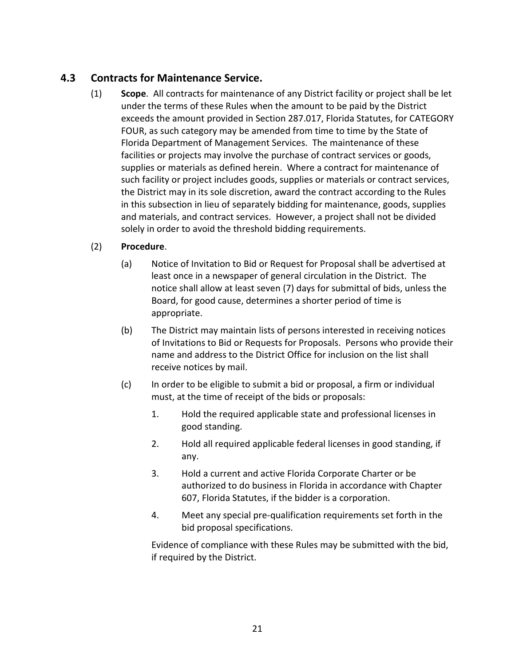## **4.3 Contracts for Maintenance Service.**

(1) **Scope**. All contracts for maintenance of any District facility or project shall be let under the terms of these Rules when the amount to be paid by the District exceeds the amount provided in Section 287.017, Florida Statutes, for CATEGORY FOUR, as such category may be amended from time to time by the State of Florida Department of Management Services. The maintenance of these facilities or projects may involve the purchase of contract services or goods, supplies or materials as defined herein. Where a contract for maintenance of such facility or project includes goods, supplies or materials or contract services, the District may in its sole discretion, award the contract according to the Rules in this subsection in lieu of separately bidding for maintenance, goods, supplies and materials, and contract services. However, a project shall not be divided solely in order to avoid the threshold bidding requirements.

#### (2) **Procedure**.

- (a) Notice of Invitation to Bid or Request for Proposal shall be advertised at least once in a newspaper of general circulation in the District. The notice shall allow at least seven (7) days for submittal of bids, unless the Board, for good cause, determines a shorter period of time is appropriate.
- (b) The District may maintain lists of persons interested in receiving notices of Invitations to Bid or Requests for Proposals. Persons who provide their name and address to the District Office for inclusion on the list shall receive notices by mail.
- (c) In order to be eligible to submit a bid or proposal, a firm or individual must, at the time of receipt of the bids or proposals:
	- 1. Hold the required applicable state and professional licenses in good standing.
	- 2. Hold all required applicable federal licenses in good standing, if any.
	- 3. Hold a current and active Florida Corporate Charter or be authorized to do business in Florida in accordance with Chapter 607, Florida Statutes, if the bidder is a corporation.
	- 4. Meet any special pre-qualification requirements set forth in the bid proposal specifications.

Evidence of compliance with these Rules may be submitted with the bid, if required by the District.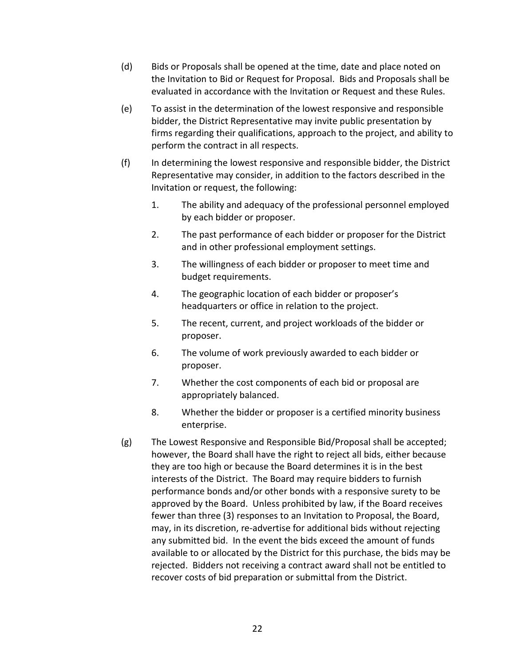- (d) Bids or Proposals shall be opened at the time, date and place noted on the Invitation to Bid or Request for Proposal. Bids and Proposals shall be evaluated in accordance with the Invitation or Request and these Rules.
- (e) To assist in the determination of the lowest responsive and responsible bidder, the District Representative may invite public presentation by firms regarding their qualifications, approach to the project, and ability to perform the contract in all respects.
- (f) In determining the lowest responsive and responsible bidder, the District Representative may consider, in addition to the factors described in the Invitation or request, the following:
	- 1. The ability and adequacy of the professional personnel employed by each bidder or proposer.
	- 2. The past performance of each bidder or proposer for the District and in other professional employment settings.
	- 3. The willingness of each bidder or proposer to meet time and budget requirements.
	- 4. The geographic location of each bidder or proposer's headquarters or office in relation to the project.
	- 5. The recent, current, and project workloads of the bidder or proposer.
	- 6. The volume of work previously awarded to each bidder or proposer.
	- 7. Whether the cost components of each bid or proposal are appropriately balanced.
	- 8. Whether the bidder or proposer is a certified minority business enterprise.
- (g) The Lowest Responsive and Responsible Bid/Proposal shall be accepted; however, the Board shall have the right to reject all bids, either because they are too high or because the Board determines it is in the best interests of the District. The Board may require bidders to furnish performance bonds and/or other bonds with a responsive surety to be approved by the Board. Unless prohibited by law, if the Board receives fewer than three (3) responses to an Invitation to Proposal, the Board, may, in its discretion, re-advertise for additional bids without rejecting any submitted bid. In the event the bids exceed the amount of funds available to or allocated by the District for this purchase, the bids may be rejected. Bidders not receiving a contract award shall not be entitled to recover costs of bid preparation or submittal from the District.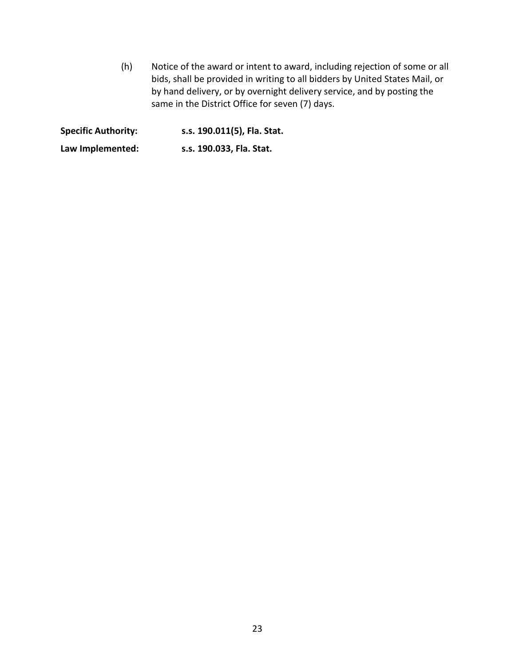(h) Notice of the award or intent to award, including rejection of some or all bids, shall be provided in writing to all bidders by United States Mail, or by hand delivery, or by overnight delivery service, and by posting the same in the District Office for seven (7) days.

**Specific Authority: s.s. 190.011(5), Fla. Stat.**

**Law Implemented: s.s. 190.033, Fla. Stat.**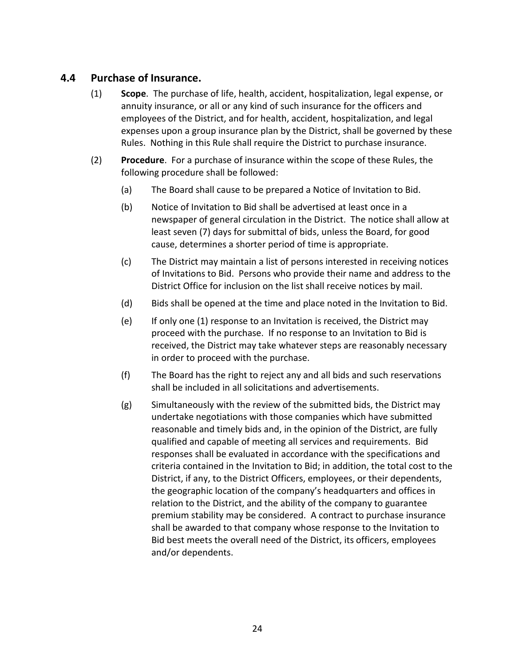#### **4.4 Purchase of Insurance.**

- (1) **Scope**. The purchase of life, health, accident, hospitalization, legal expense, or annuity insurance, or all or any kind of such insurance for the officers and employees of the District, and for health, accident, hospitalization, and legal expenses upon a group insurance plan by the District, shall be governed by these Rules. Nothing in this Rule shall require the District to purchase insurance.
- (2) **Procedure**. For a purchase of insurance within the scope of these Rules, the following procedure shall be followed:
	- (a) The Board shall cause to be prepared a Notice of Invitation to Bid.
	- (b) Notice of Invitation to Bid shall be advertised at least once in a newspaper of general circulation in the District. The notice shall allow at least seven (7) days for submittal of bids, unless the Board, for good cause, determines a shorter period of time is appropriate.
	- (c) The District may maintain a list of persons interested in receiving notices of Invitations to Bid. Persons who provide their name and address to the District Office for inclusion on the list shall receive notices by mail.
	- (d) Bids shall be opened at the time and place noted in the Invitation to Bid.
	- (e) If only one (1) response to an Invitation is received, the District may proceed with the purchase. If no response to an Invitation to Bid is received, the District may take whatever steps are reasonably necessary in order to proceed with the purchase.
	- (f) The Board has the right to reject any and all bids and such reservations shall be included in all solicitations and advertisements.
	- (g) Simultaneously with the review of the submitted bids, the District may undertake negotiations with those companies which have submitted reasonable and timely bids and, in the opinion of the District, are fully qualified and capable of meeting all services and requirements. Bid responses shall be evaluated in accordance with the specifications and criteria contained in the Invitation to Bid; in addition, the total cost to the District, if any, to the District Officers, employees, or their dependents, the geographic location of the company's headquarters and offices in relation to the District, and the ability of the company to guarantee premium stability may be considered. A contract to purchase insurance shall be awarded to that company whose response to the Invitation to Bid best meets the overall need of the District, its officers, employees and/or dependents.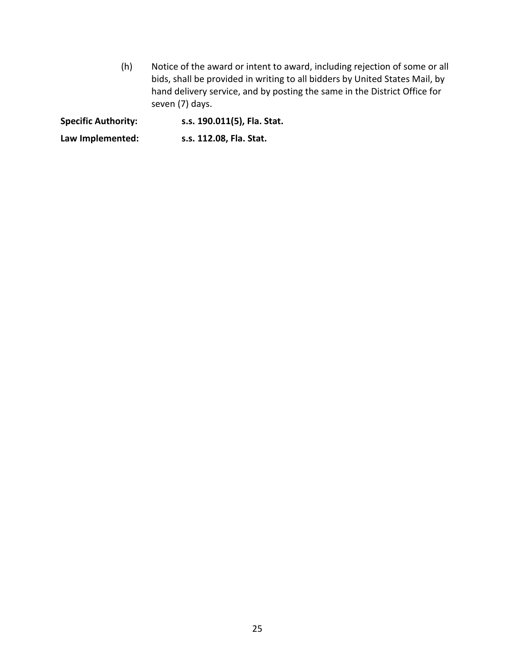(h) Notice of the award or intent to award, including rejection of some or all bids, shall be provided in writing to all bidders by United States Mail, by hand delivery service, and by posting the same in the District Office for seven (7) days.

**Specific Authority: s.s. 190.011(5), Fla. Stat.**

**Law Implemented: s.s. 112.08, Fla. Stat.**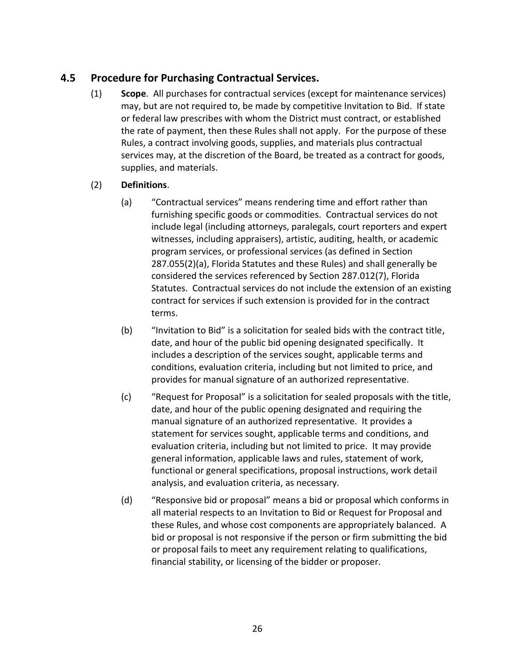## **4.5 Procedure for Purchasing Contractual Services.**

- (1) **Scope**. All purchases for contractual services (except for maintenance services) may, but are not required to, be made by competitive Invitation to Bid. If state or federal law prescribes with whom the District must contract, or established the rate of payment, then these Rules shall not apply. For the purpose of these Rules, a contract involving goods, supplies, and materials plus contractual services may, at the discretion of the Board, be treated as a contract for goods, supplies, and materials.
- (2) **Definitions**.
	- (a) "Contractual services" means rendering time and effort rather than furnishing specific goods or commodities. Contractual services do not include legal (including attorneys, paralegals, court reporters and expert witnesses, including appraisers), artistic, auditing, health, or academic program services, or professional services (as defined in Section 287.055(2)(a), Florida Statutes and these Rules) and shall generally be considered the services referenced by Section 287.012(7), Florida Statutes. Contractual services do not include the extension of an existing contract for services if such extension is provided for in the contract terms.
	- (b) "Invitation to Bid" is a solicitation for sealed bids with the contract title, date, and hour of the public bid opening designated specifically. It includes a description of the services sought, applicable terms and conditions, evaluation criteria, including but not limited to price, and provides for manual signature of an authorized representative.
	- (c) "Request for Proposal" is a solicitation for sealed proposals with the title, date, and hour of the public opening designated and requiring the manual signature of an authorized representative. It provides a statement for services sought, applicable terms and conditions, and evaluation criteria, including but not limited to price. It may provide general information, applicable laws and rules, statement of work, functional or general specifications, proposal instructions, work detail analysis, and evaluation criteria, as necessary.
	- (d) "Responsive bid or proposal" means a bid or proposal which conforms in all material respects to an Invitation to Bid or Request for Proposal and these Rules, and whose cost components are appropriately balanced. A bid or proposal is not responsive if the person or firm submitting the bid or proposal fails to meet any requirement relating to qualifications, financial stability, or licensing of the bidder or proposer.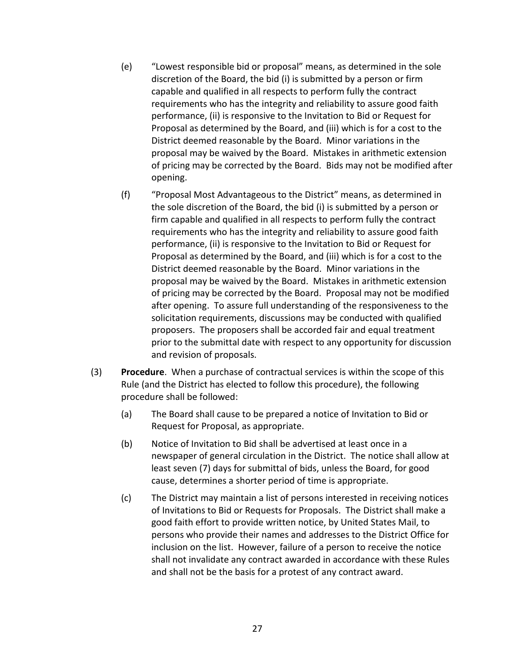- (e) "Lowest responsible bid or proposal" means, as determined in the sole discretion of the Board, the bid (i) is submitted by a person or firm capable and qualified in all respects to perform fully the contract requirements who has the integrity and reliability to assure good faith performance, (ii) is responsive to the Invitation to Bid or Request for Proposal as determined by the Board, and (iii) which is for a cost to the District deemed reasonable by the Board. Minor variations in the proposal may be waived by the Board. Mistakes in arithmetic extension of pricing may be corrected by the Board. Bids may not be modified after opening.
- (f) "Proposal Most Advantageous to the District" means, as determined in the sole discretion of the Board, the bid (i) is submitted by a person or firm capable and qualified in all respects to perform fully the contract requirements who has the integrity and reliability to assure good faith performance, (ii) is responsive to the Invitation to Bid or Request for Proposal as determined by the Board, and (iii) which is for a cost to the District deemed reasonable by the Board. Minor variations in the proposal may be waived by the Board. Mistakes in arithmetic extension of pricing may be corrected by the Board. Proposal may not be modified after opening. To assure full understanding of the responsiveness to the solicitation requirements, discussions may be conducted with qualified proposers. The proposers shall be accorded fair and equal treatment prior to the submittal date with respect to any opportunity for discussion and revision of proposals.
- (3) **Procedure**. When a purchase of contractual services is within the scope of this Rule (and the District has elected to follow this procedure), the following procedure shall be followed:
	- (a) The Board shall cause to be prepared a notice of Invitation to Bid or Request for Proposal, as appropriate.
	- (b) Notice of Invitation to Bid shall be advertised at least once in a newspaper of general circulation in the District. The notice shall allow at least seven (7) days for submittal of bids, unless the Board, for good cause, determines a shorter period of time is appropriate.
	- (c) The District may maintain a list of persons interested in receiving notices of Invitations to Bid or Requests for Proposals. The District shall make a good faith effort to provide written notice, by United States Mail, to persons who provide their names and addresses to the District Office for inclusion on the list. However, failure of a person to receive the notice shall not invalidate any contract awarded in accordance with these Rules and shall not be the basis for a protest of any contract award.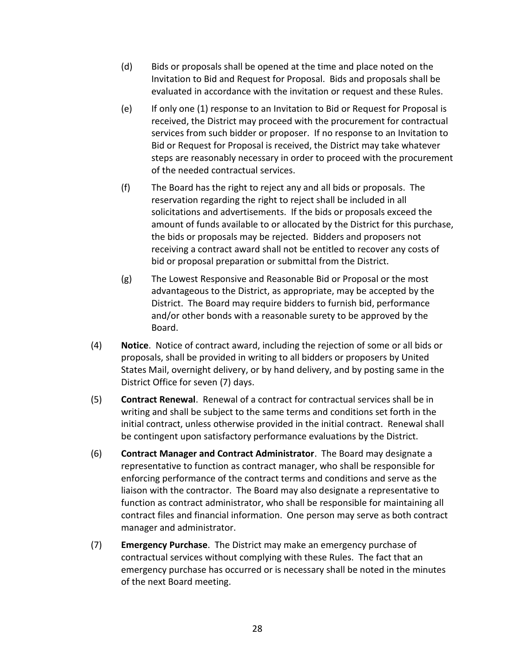- (d) Bids or proposals shall be opened at the time and place noted on the Invitation to Bid and Request for Proposal. Bids and proposals shall be evaluated in accordance with the invitation or request and these Rules.
- (e) If only one (1) response to an Invitation to Bid or Request for Proposal is received, the District may proceed with the procurement for contractual services from such bidder or proposer. If no response to an Invitation to Bid or Request for Proposal is received, the District may take whatever steps are reasonably necessary in order to proceed with the procurement of the needed contractual services.
- (f) The Board has the right to reject any and all bids or proposals. The reservation regarding the right to reject shall be included in all solicitations and advertisements. If the bids or proposals exceed the amount of funds available to or allocated by the District for this purchase, the bids or proposals may be rejected. Bidders and proposers not receiving a contract award shall not be entitled to recover any costs of bid or proposal preparation or submittal from the District.
- (g) The Lowest Responsive and Reasonable Bid or Proposal or the most advantageous to the District, as appropriate, may be accepted by the District. The Board may require bidders to furnish bid, performance and/or other bonds with a reasonable surety to be approved by the Board.
- (4) **Notice**. Notice of contract award, including the rejection of some or all bids or proposals, shall be provided in writing to all bidders or proposers by United States Mail, overnight delivery, or by hand delivery, and by posting same in the District Office for seven (7) days.
- (5) **Contract Renewal**. Renewal of a contract for contractual services shall be in writing and shall be subject to the same terms and conditions set forth in the initial contract, unless otherwise provided in the initial contract. Renewal shall be contingent upon satisfactory performance evaluations by the District.
- (6) **Contract Manager and Contract Administrator**. The Board may designate a representative to function as contract manager, who shall be responsible for enforcing performance of the contract terms and conditions and serve as the liaison with the contractor. The Board may also designate a representative to function as contract administrator, who shall be responsible for maintaining all contract files and financial information. One person may serve as both contract manager and administrator.
- (7) **Emergency Purchase**. The District may make an emergency purchase of contractual services without complying with these Rules. The fact that an emergency purchase has occurred or is necessary shall be noted in the minutes of the next Board meeting.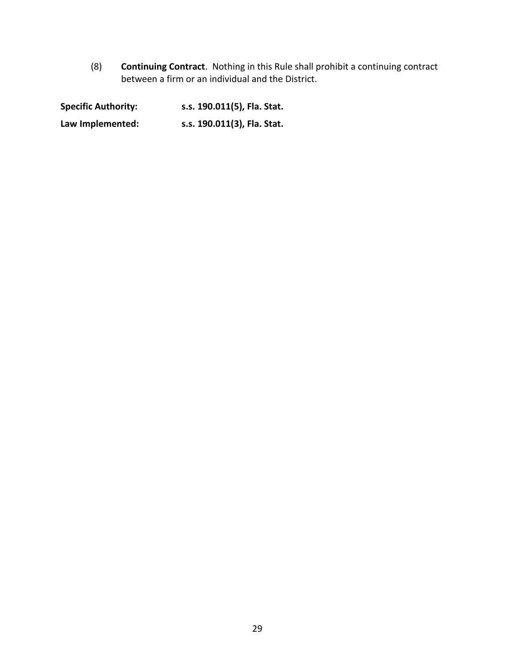(8) **Continuing Contract**. Nothing in this Rule shall prohibit a continuing contract between a firm or an individual and the District.

**Specific Authority: s.s. 190.011(5), Fla. Stat. Law Implemented: s.s. 190.011(3), Fla. Stat.**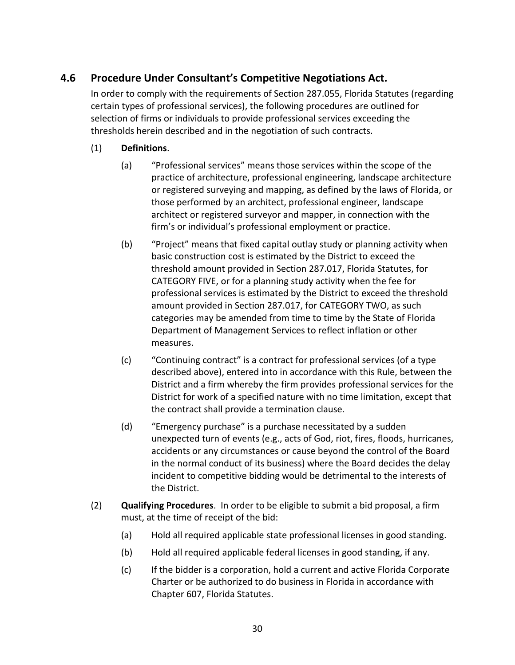# **4.6 Procedure Under Consultant's Competitive Negotiations Act.**

In order to comply with the requirements of Section 287.055, Florida Statutes (regarding certain types of professional services), the following procedures are outlined for selection of firms or individuals to provide professional services exceeding the thresholds herein described and in the negotiation of such contracts.

- (1) **Definitions**.
	- (a) "Professional services" means those services within the scope of the practice of architecture, professional engineering, landscape architecture or registered surveying and mapping, as defined by the laws of Florida, or those performed by an architect, professional engineer, landscape architect or registered surveyor and mapper, in connection with the firm's or individual's professional employment or practice.
	- (b) "Project" means that fixed capital outlay study or planning activity when basic construction cost is estimated by the District to exceed the threshold amount provided in Section 287.017, Florida Statutes, for CATEGORY FIVE, or for a planning study activity when the fee for professional services is estimated by the District to exceed the threshold amount provided in Section 287.017, for CATEGORY TWO, as such categories may be amended from time to time by the State of Florida Department of Management Services to reflect inflation or other measures.
	- (c) "Continuing contract" is a contract for professional services (of a type described above), entered into in accordance with this Rule, between the District and a firm whereby the firm provides professional services for the District for work of a specified nature with no time limitation, except that the contract shall provide a termination clause.
	- (d) "Emergency purchase" is a purchase necessitated by a sudden unexpected turn of events (e.g., acts of God, riot, fires, floods, hurricanes, accidents or any circumstances or cause beyond the control of the Board in the normal conduct of its business) where the Board decides the delay incident to competitive bidding would be detrimental to the interests of the District.
- (2) **Qualifying Procedures**. In order to be eligible to submit a bid proposal, a firm must, at the time of receipt of the bid:
	- (a) Hold all required applicable state professional licenses in good standing.
	- (b) Hold all required applicable federal licenses in good standing, if any.
	- (c) If the bidder is a corporation, hold a current and active Florida Corporate Charter or be authorized to do business in Florida in accordance with Chapter 607, Florida Statutes.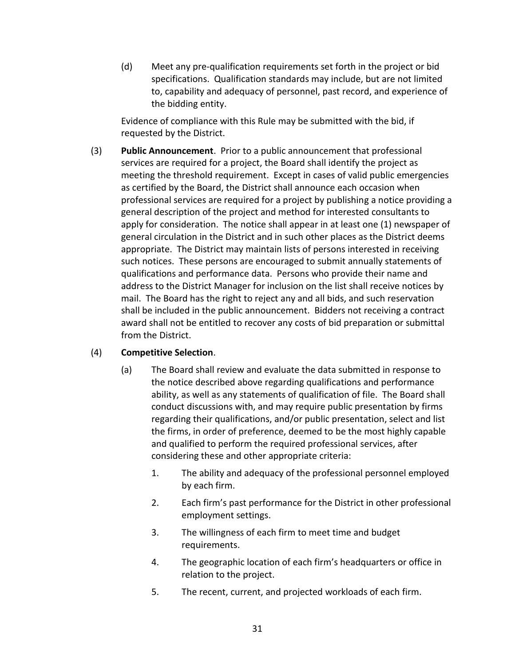(d) Meet any pre-qualification requirements set forth in the project or bid specifications. Qualification standards may include, but are not limited to, capability and adequacy of personnel, past record, and experience of the bidding entity.

Evidence of compliance with this Rule may be submitted with the bid, if requested by the District.

(3) **Public Announcement**. Prior to a public announcement that professional services are required for a project, the Board shall identify the project as meeting the threshold requirement. Except in cases of valid public emergencies as certified by the Board, the District shall announce each occasion when professional services are required for a project by publishing a notice providing a general description of the project and method for interested consultants to apply for consideration. The notice shall appear in at least one (1) newspaper of general circulation in the District and in such other places as the District deems appropriate. The District may maintain lists of persons interested in receiving such notices. These persons are encouraged to submit annually statements of qualifications and performance data. Persons who provide their name and address to the District Manager for inclusion on the list shall receive notices by mail. The Board has the right to reject any and all bids, and such reservation shall be included in the public announcement. Bidders not receiving a contract award shall not be entitled to recover any costs of bid preparation or submittal from the District.

#### (4) **Competitive Selection**.

- (a) The Board shall review and evaluate the data submitted in response to the notice described above regarding qualifications and performance ability, as well as any statements of qualification of file. The Board shall conduct discussions with, and may require public presentation by firms regarding their qualifications, and/or public presentation, select and list the firms, in order of preference, deemed to be the most highly capable and qualified to perform the required professional services, after considering these and other appropriate criteria:
	- 1. The ability and adequacy of the professional personnel employed by each firm.
	- 2. Each firm's past performance for the District in other professional employment settings.
	- 3. The willingness of each firm to meet time and budget requirements.
	- 4. The geographic location of each firm's headquarters or office in relation to the project.
	- 5. The recent, current, and projected workloads of each firm.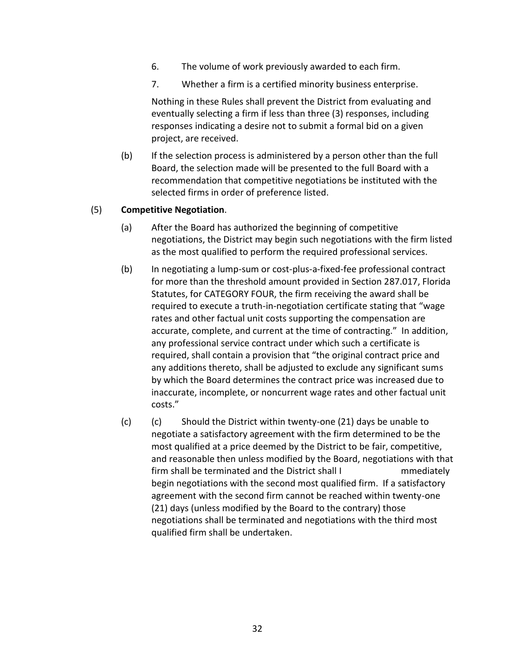- 6. The volume of work previously awarded to each firm.
- 7. Whether a firm is a certified minority business enterprise.

Nothing in these Rules shall prevent the District from evaluating and eventually selecting a firm if less than three (3) responses, including responses indicating a desire not to submit a formal bid on a given project, are received.

(b) If the selection process is administered by a person other than the full Board, the selection made will be presented to the full Board with a recommendation that competitive negotiations be instituted with the selected firms in order of preference listed.

#### (5) **Competitive Negotiation**.

- (a) After the Board has authorized the beginning of competitive negotiations, the District may begin such negotiations with the firm listed as the most qualified to perform the required professional services.
- (b) In negotiating a lump-sum or cost-plus-a-fixed-fee professional contract for more than the threshold amount provided in Section 287.017, Florida Statutes, for CATEGORY FOUR, the firm receiving the award shall be required to execute a truth-in-negotiation certificate stating that "wage rates and other factual unit costs supporting the compensation are accurate, complete, and current at the time of contracting." In addition, any professional service contract under which such a certificate is required, shall contain a provision that "the original contract price and any additions thereto, shall be adjusted to exclude any significant sums by which the Board determines the contract price was increased due to inaccurate, incomplete, or noncurrent wage rates and other factual unit costs."
- (c) (c) Should the District within twenty-one (21) days be unable to negotiate a satisfactory agreement with the firm determined to be the most qualified at a price deemed by the District to be fair, competitive, and reasonable then unless modified by the Board, negotiations with that firm shall be terminated and the District shall I mmediately begin negotiations with the second most qualified firm. If a satisfactory agreement with the second firm cannot be reached within twenty-one (21) days (unless modified by the Board to the contrary) those negotiations shall be terminated and negotiations with the third most qualified firm shall be undertaken.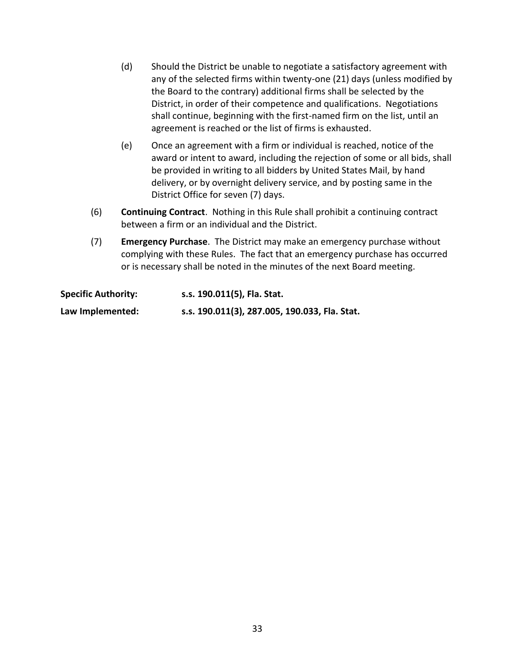- (d) Should the District be unable to negotiate a satisfactory agreement with any of the selected firms within twenty-one (21) days (unless modified by the Board to the contrary) additional firms shall be selected by the District, in order of their competence and qualifications. Negotiations shall continue, beginning with the first-named firm on the list, until an agreement is reached or the list of firms is exhausted.
- (e) Once an agreement with a firm or individual is reached, notice of the award or intent to award, including the rejection of some or all bids, shall be provided in writing to all bidders by United States Mail, by hand delivery, or by overnight delivery service, and by posting same in the District Office for seven (7) days.
- (6) **Continuing Contract**. Nothing in this Rule shall prohibit a continuing contract between a firm or an individual and the District.
- (7) **Emergency Purchase**. The District may make an emergency purchase without complying with these Rules. The fact that an emergency purchase has occurred or is necessary shall be noted in the minutes of the next Board meeting.

| <b>Specific Authority:</b> | s.s. 190.011(5), Fla. Stat.                   |
|----------------------------|-----------------------------------------------|
| Law Implemented:           | s.s. 190.011(3), 287.005, 190.033, Fla. Stat. |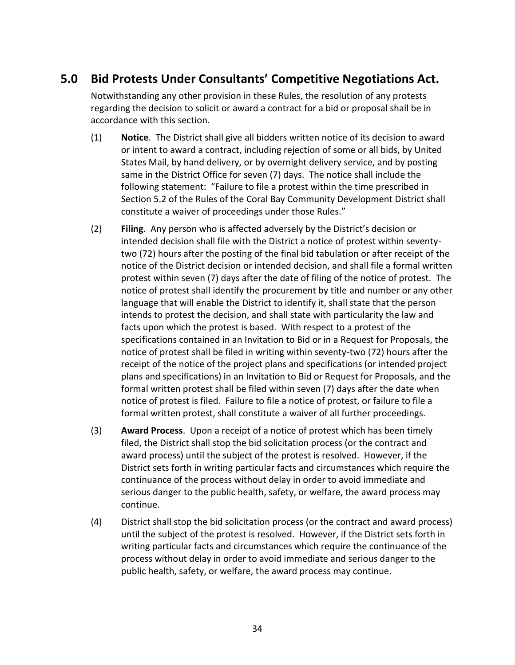# **5.0 Bid Protests Under Consultants' Competitive Negotiations Act.**

Notwithstanding any other provision in these Rules, the resolution of any protests regarding the decision to solicit or award a contract for a bid or proposal shall be in accordance with this section.

- (1) **Notice**. The District shall give all bidders written notice of its decision to award or intent to award a contract, including rejection of some or all bids, by United States Mail, by hand delivery, or by overnight delivery service, and by posting same in the District Office for seven (7) days. The notice shall include the following statement: "Failure to file a protest within the time prescribed in Section 5.2 of the Rules of the Coral Bay Community Development District shall constitute a waiver of proceedings under those Rules."
- (2) **Filing**. Any person who is affected adversely by the District's decision or intended decision shall file with the District a notice of protest within seventytwo (72) hours after the posting of the final bid tabulation or after receipt of the notice of the District decision or intended decision, and shall file a formal written protest within seven (7) days after the date of filing of the notice of protest. The notice of protest shall identify the procurement by title and number or any other language that will enable the District to identify it, shall state that the person intends to protest the decision, and shall state with particularity the law and facts upon which the protest is based. With respect to a protest of the specifications contained in an Invitation to Bid or in a Request for Proposals, the notice of protest shall be filed in writing within seventy-two (72) hours after the receipt of the notice of the project plans and specifications (or intended project plans and specifications) in an Invitation to Bid or Request for Proposals, and the formal written protest shall be filed within seven (7) days after the date when notice of protest is filed. Failure to file a notice of protest, or failure to file a formal written protest, shall constitute a waiver of all further proceedings.
- (3) **Award Process**. Upon a receipt of a notice of protest which has been timely filed, the District shall stop the bid solicitation process (or the contract and award process) until the subject of the protest is resolved. However, if the District sets forth in writing particular facts and circumstances which require the continuance of the process without delay in order to avoid immediate and serious danger to the public health, safety, or welfare, the award process may continue.
- (4) District shall stop the bid solicitation process (or the contract and award process) until the subject of the protest is resolved. However, if the District sets forth in writing particular facts and circumstances which require the continuance of the process without delay in order to avoid immediate and serious danger to the public health, safety, or welfare, the award process may continue.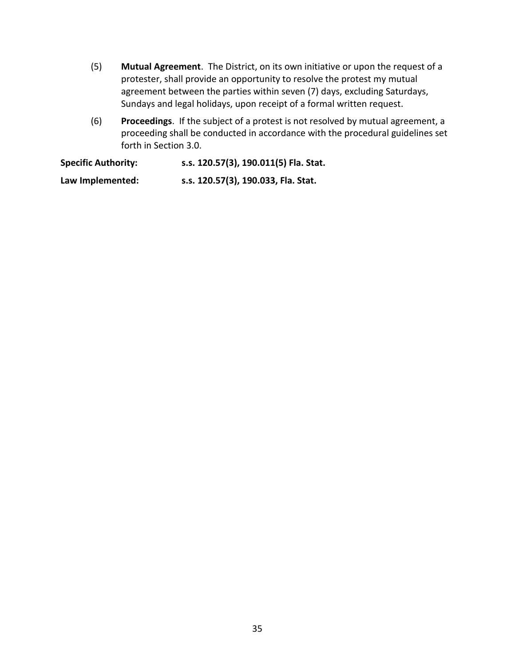- (5) **Mutual Agreement**. The District, on its own initiative or upon the request of a protester, shall provide an opportunity to resolve the protest my mutual agreement between the parties within seven (7) days, excluding Saturdays, Sundays and legal holidays, upon receipt of a formal written request.
- (6) **Proceedings**. If the subject of a protest is not resolved by mutual agreement, a proceeding shall be conducted in accordance with the procedural guidelines set forth in Section 3.0.

**Specific Authority: s.s. 120.57(3), 190.011(5) Fla. Stat. Law Implemented: s.s. 120.57(3), 190.033, Fla. Stat.**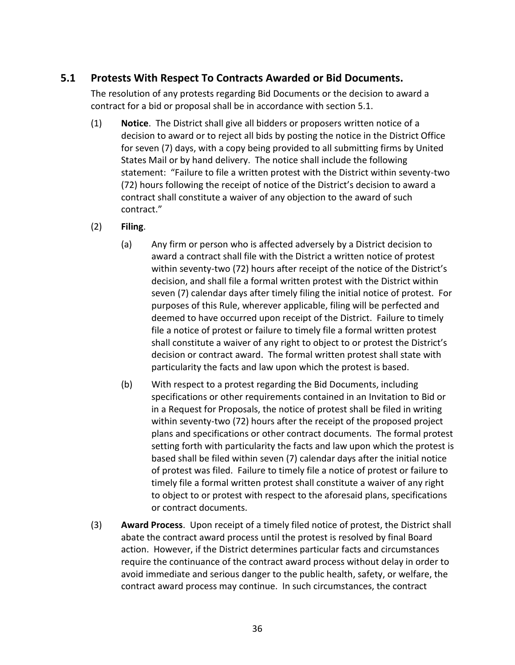## **5.1 Protests With Respect To Contracts Awarded or Bid Documents.**

The resolution of any protests regarding Bid Documents or the decision to award a contract for a bid or proposal shall be in accordance with section 5.1.

- (1) **Notice**. The District shall give all bidders or proposers written notice of a decision to award or to reject all bids by posting the notice in the District Office for seven (7) days, with a copy being provided to all submitting firms by United States Mail or by hand delivery. The notice shall include the following statement: "Failure to file a written protest with the District within seventy-two (72) hours following the receipt of notice of the District's decision to award a contract shall constitute a waiver of any objection to the award of such contract."
- (2) **Filing**.
	- (a) Any firm or person who is affected adversely by a District decision to award a contract shall file with the District a written notice of protest within seventy-two (72) hours after receipt of the notice of the District's decision, and shall file a formal written protest with the District within seven (7) calendar days after timely filing the initial notice of protest. For purposes of this Rule, wherever applicable, filing will be perfected and deemed to have occurred upon receipt of the District. Failure to timely file a notice of protest or failure to timely file a formal written protest shall constitute a waiver of any right to object to or protest the District's decision or contract award. The formal written protest shall state with particularity the facts and law upon which the protest is based.
	- (b) With respect to a protest regarding the Bid Documents, including specifications or other requirements contained in an Invitation to Bid or in a Request for Proposals, the notice of protest shall be filed in writing within seventy-two (72) hours after the receipt of the proposed project plans and specifications or other contract documents. The formal protest setting forth with particularity the facts and law upon which the protest is based shall be filed within seven (7) calendar days after the initial notice of protest was filed. Failure to timely file a notice of protest or failure to timely file a formal written protest shall constitute a waiver of any right to object to or protest with respect to the aforesaid plans, specifications or contract documents.
- (3) **Award Process**. Upon receipt of a timely filed notice of protest, the District shall abate the contract award process until the protest is resolved by final Board action. However, if the District determines particular facts and circumstances require the continuance of the contract award process without delay in order to avoid immediate and serious danger to the public health, safety, or welfare, the contract award process may continue. In such circumstances, the contract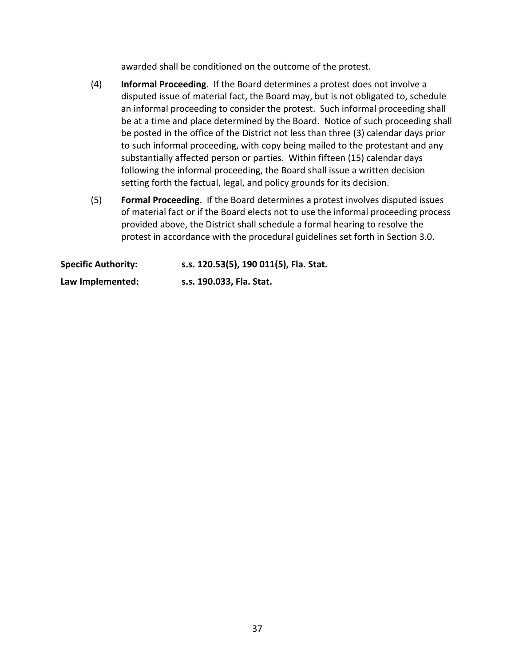awarded shall be conditioned on the outcome of the protest.

- (4) **Informal Proceeding**. If the Board determines a protest does not involve a disputed issue of material fact, the Board may, but is not obligated to, schedule an informal proceeding to consider the protest. Such informal proceeding shall be at a time and place determined by the Board. Notice of such proceeding shall be posted in the office of the District not less than three (3) calendar days prior to such informal proceeding, with copy being mailed to the protestant and any substantially affected person or parties. Within fifteen (15) calendar days following the informal proceeding, the Board shall issue a written decision setting forth the factual, legal, and policy grounds for its decision.
- (5) **Formal Proceeding**. If the Board determines a protest involves disputed issues of material fact or if the Board elects not to use the informal proceeding process provided above, the District shall schedule a formal hearing to resolve the protest in accordance with the procedural guidelines set forth in Section 3.0.

| <b>Specific Authority:</b> | s.s. 120.53(5), 190 011(5), Fla. Stat. |
|----------------------------|----------------------------------------|
| Law Implemented:           | s.s. 190.033, Fla. Stat.               |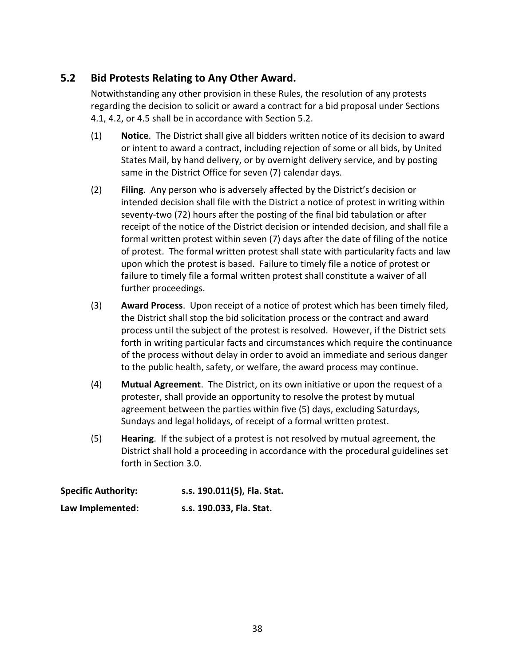## **5.2 Bid Protests Relating to Any Other Award.**

Notwithstanding any other provision in these Rules, the resolution of any protests regarding the decision to solicit or award a contract for a bid proposal under Sections 4.1, 4.2, or 4.5 shall be in accordance with Section 5.2.

- (1) **Notice**. The District shall give all bidders written notice of its decision to award or intent to award a contract, including rejection of some or all bids, by United States Mail, by hand delivery, or by overnight delivery service, and by posting same in the District Office for seven (7) calendar days.
- (2) **Filing**. Any person who is adversely affected by the District's decision or intended decision shall file with the District a notice of protest in writing within seventy-two (72) hours after the posting of the final bid tabulation or after receipt of the notice of the District decision or intended decision, and shall file a formal written protest within seven (7) days after the date of filing of the notice of protest. The formal written protest shall state with particularity facts and law upon which the protest is based. Failure to timely file a notice of protest or failure to timely file a formal written protest shall constitute a waiver of all further proceedings.
- (3) **Award Process**. Upon receipt of a notice of protest which has been timely filed, the District shall stop the bid solicitation process or the contract and award process until the subject of the protest is resolved. However, if the District sets forth in writing particular facts and circumstances which require the continuance of the process without delay in order to avoid an immediate and serious danger to the public health, safety, or welfare, the award process may continue.
- (4) **Mutual Agreement**. The District, on its own initiative or upon the request of a protester, shall provide an opportunity to resolve the protest by mutual agreement between the parties within five (5) days, excluding Saturdays, Sundays and legal holidays, of receipt of a formal written protest.
- (5) **Hearing**. If the subject of a protest is not resolved by mutual agreement, the District shall hold a proceeding in accordance with the procedural guidelines set forth in Section 3.0.

| <b>Specific Authority:</b> | s.s. 190.011(5), Fla. Stat. |
|----------------------------|-----------------------------|
| Law Implemented:           | s.s. 190.033, Fla. Stat.    |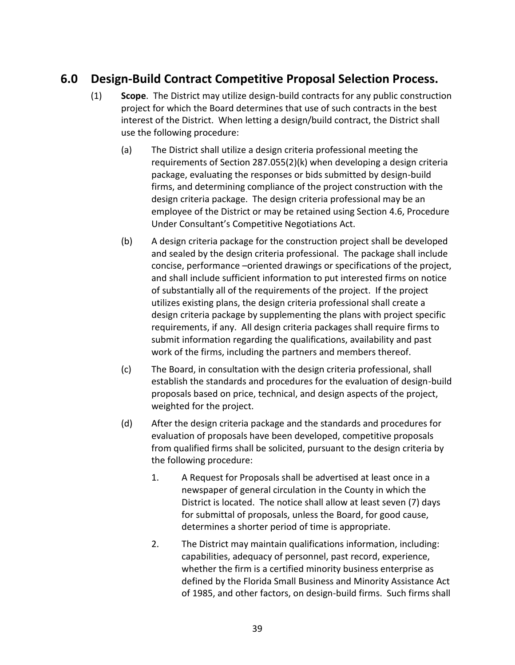# **6.0 Design-Build Contract Competitive Proposal Selection Process.**

- (1) **Scope**. The District may utilize design-build contracts for any public construction project for which the Board determines that use of such contracts in the best interest of the District. When letting a design/build contract, the District shall use the following procedure:
	- (a) The District shall utilize a design criteria professional meeting the requirements of Section 287.055(2)(k) when developing a design criteria package, evaluating the responses or bids submitted by design-build firms, and determining compliance of the project construction with the design criteria package. The design criteria professional may be an employee of the District or may be retained using Section 4.6, Procedure Under Consultant's Competitive Negotiations Act.
	- (b) A design criteria package for the construction project shall be developed and sealed by the design criteria professional. The package shall include concise, performance –oriented drawings or specifications of the project, and shall include sufficient information to put interested firms on notice of substantially all of the requirements of the project. If the project utilizes existing plans, the design criteria professional shall create a design criteria package by supplementing the plans with project specific requirements, if any. All design criteria packages shall require firms to submit information regarding the qualifications, availability and past work of the firms, including the partners and members thereof.
	- (c) The Board, in consultation with the design criteria professional, shall establish the standards and procedures for the evaluation of design-build proposals based on price, technical, and design aspects of the project, weighted for the project.
	- (d) After the design criteria package and the standards and procedures for evaluation of proposals have been developed, competitive proposals from qualified firms shall be solicited, pursuant to the design criteria by the following procedure:
		- 1. A Request for Proposals shall be advertised at least once in a newspaper of general circulation in the County in which the District is located. The notice shall allow at least seven (7) days for submittal of proposals, unless the Board, for good cause, determines a shorter period of time is appropriate.
		- 2. The District may maintain qualifications information, including: capabilities, adequacy of personnel, past record, experience, whether the firm is a certified minority business enterprise as defined by the Florida Small Business and Minority Assistance Act of 1985, and other factors, on design-build firms. Such firms shall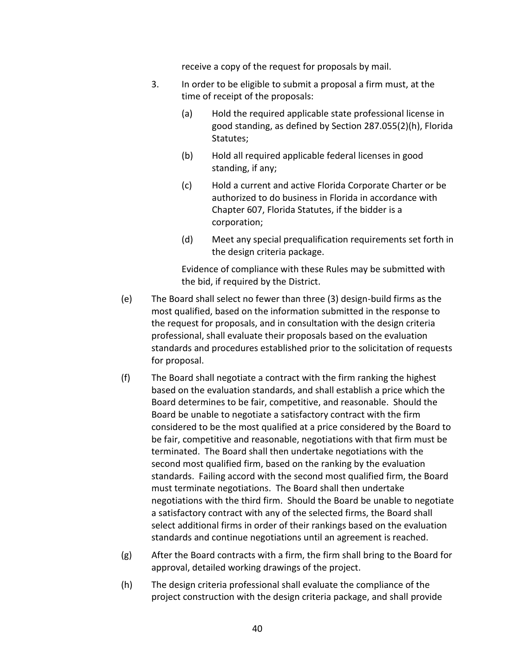receive a copy of the request for proposals by mail.

- 3. In order to be eligible to submit a proposal a firm must, at the time of receipt of the proposals:
	- (a) Hold the required applicable state professional license in good standing, as defined by Section 287.055(2)(h), Florida Statutes;
	- (b) Hold all required applicable federal licenses in good standing, if any;
	- (c) Hold a current and active Florida Corporate Charter or be authorized to do business in Florida in accordance with Chapter 607, Florida Statutes, if the bidder is a corporation;
	- (d) Meet any special prequalification requirements set forth in the design criteria package.

Evidence of compliance with these Rules may be submitted with the bid, if required by the District.

- (e) The Board shall select no fewer than three (3) design-build firms as the most qualified, based on the information submitted in the response to the request for proposals, and in consultation with the design criteria professional, shall evaluate their proposals based on the evaluation standards and procedures established prior to the solicitation of requests for proposal.
- (f) The Board shall negotiate a contract with the firm ranking the highest based on the evaluation standards, and shall establish a price which the Board determines to be fair, competitive, and reasonable. Should the Board be unable to negotiate a satisfactory contract with the firm considered to be the most qualified at a price considered by the Board to be fair, competitive and reasonable, negotiations with that firm must be terminated. The Board shall then undertake negotiations with the second most qualified firm, based on the ranking by the evaluation standards. Failing accord with the second most qualified firm, the Board must terminate negotiations. The Board shall then undertake negotiations with the third firm. Should the Board be unable to negotiate a satisfactory contract with any of the selected firms, the Board shall select additional firms in order of their rankings based on the evaluation standards and continue negotiations until an agreement is reached.
- (g) After the Board contracts with a firm, the firm shall bring to the Board for approval, detailed working drawings of the project.
- (h) The design criteria professional shall evaluate the compliance of the project construction with the design criteria package, and shall provide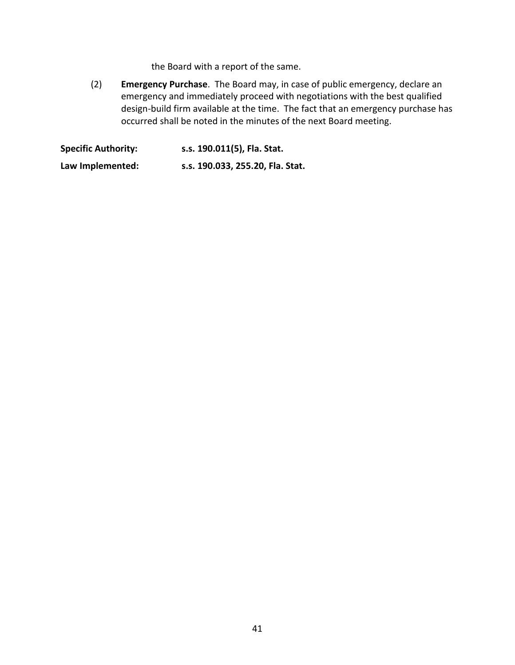the Board with a report of the same.

(2) **Emergency Purchase**. The Board may, in case of public emergency, declare an emergency and immediately proceed with negotiations with the best qualified design-build firm available at the time. The fact that an emergency purchase has occurred shall be noted in the minutes of the next Board meeting.

**Specific Authority: s.s. 190.011(5), Fla. Stat. Law Implemented: s.s. 190.033, 255.20, Fla. Stat.**